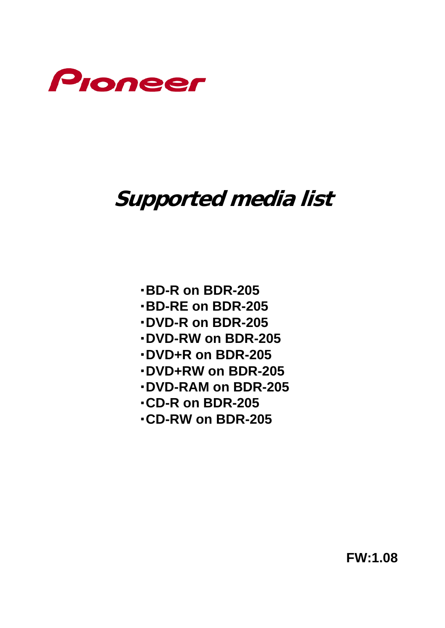

# **Supported media list**

- ・**BD-R on BDR-205**
- ・**BD-RE on BDR-205**
- ・**DVD-R on BDR-205**
- ・**DVD-RW on BDR-205**
- ・**DVD+R on BDR-205**
- ・**DVD+RW on BDR-205**
- ・**DVD-RAM on BDR-205**
- ・**CD-R on BDR-205**
- ・**CD-RW on BDR-205**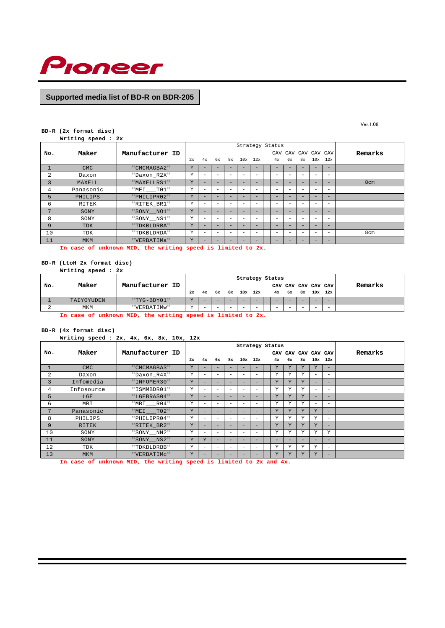

#### **BD-R (2x format disc)**

**Writing speed : 2x**

|     |            |                 |    |                          |                          |                          | Strategy Status          |                          |                          |                          |    |                          |                          |         |
|-----|------------|-----------------|----|--------------------------|--------------------------|--------------------------|--------------------------|--------------------------|--------------------------|--------------------------|----|--------------------------|--------------------------|---------|
| No. | Maker      | Manufacturer ID |    |                          |                          |                          |                          |                          | CAV                      |                          |    |                          | CAV CAV CAV CAV          | Remarks |
|     |            |                 | 2x | 4x                       | 6x                       | 8x                       | $10x$ $12x$              |                          | 4x                       | 6x                       | 8x | 10x                      | 12x                      |         |
|     | <b>CMC</b> | " CMCMAGBA2"    | Y  |                          |                          |                          |                          |                          |                          |                          |    |                          | $\overline{\phantom{0}}$ |         |
| 2   | Daxon      | "Daxon_R2X"     | Y  | $\overline{\phantom{0}}$ |                          | $\overline{\phantom{0}}$ | $\overline{\phantom{a}}$ | $\overline{\phantom{0}}$ | $\overline{\phantom{a}}$ | $\overline{\phantom{0}}$ |    |                          | $\overline{\phantom{0}}$ |         |
| 3   | MAXELL     | "MAXELLRS1"     | Y  | $\overline{\phantom{a}}$ | $\overline{\phantom{0}}$ | $\overline{\phantom{a}}$ | -                        | $\overline{\phantom{a}}$ | $\overline{\phantom{0}}$ | $\overline{\phantom{a}}$ | -  | $\overline{\phantom{0}}$ | -                        | 8cm     |
| 4   | Panasonic  | "MEI TO1"       | Y  | $\overline{\phantom{a}}$ |                          | $\overline{\phantom{0}}$ | $\overline{\phantom{0}}$ | $\overline{\phantom{0}}$ | $\overline{\phantom{0}}$ | $\overline{\phantom{a}}$ |    | $\overline{\phantom{a}}$ | $\overline{\phantom{0}}$ |         |
| 5   | PHILIPS    | "PHILIPR02"     | Y  | $\overline{\phantom{a}}$ | -                        |                          | -                        | $\overline{\phantom{a}}$ | -                        | -                        |    |                          | $\overline{\phantom{a}}$ |         |
| 6   | RITEK      | "RITEK BR1"     | Y  | -                        |                          |                          | $\overline{\phantom{a}}$ | $\overline{\phantom{0}}$ |                          | $\overline{\phantom{a}}$ |    |                          | $\overline{\phantom{0}}$ |         |
| 7   | SONY       | "SONY_NO1"      | Y  | -                        | -                        | -                        | -                        | $\overline{\phantom{a}}$ | $\overline{\phantom{a}}$ | -                        |    |                          | $\overline{\phantom{a}}$ |         |
| 8   | SONY       | "SONY__NS1"     | Y  | $\overline{\phantom{0}}$ |                          | $\overline{\phantom{0}}$ | -                        | $\overline{\phantom{0}}$ | $\overline{\phantom{0}}$ | $\overline{\phantom{0}}$ |    |                          | $\overline{\phantom{0}}$ |         |
| 9   | <b>TDK</b> | "TDKBLDRBA"     | Y  | -                        | -                        |                          | -                        | $\overline{\phantom{a}}$ | -                        | -                        |    |                          | $\overline{\phantom{a}}$ |         |
| 10  | TDK        | "TDKBLDRDA"     | Y  | $\overline{\phantom{0}}$ |                          | $\overline{\phantom{0}}$ | $\overline{\phantom{a}}$ | $\overline{\phantom{0}}$ | $\overline{\phantom{a}}$ | $\overline{\phantom{a}}$ |    | $\overline{\phantom{a}}$ | $\overline{\phantom{m}}$ | 8cm     |
| 11  | <b>MKM</b> | "VERBATIMa"     | Y  | -                        | -                        |                          | -                        | $\overline{\phantom{a}}$ |                          | -                        |    |                          | $-$                      |         |

**In case of unknown MID, the writing speed is limited to 2x.**

## **BD-R (LtoH 2x format disc)**

|     | Writing speed : 2x |                 |    |    |                          |                                |                          |                          |  |                          |                     |         |
|-----|--------------------|-----------------|----|----|--------------------------|--------------------------------|--------------------------|--------------------------|--|--------------------------|---------------------|---------|
|     |                    |                 |    |    |                          | Strategy Status                |                          |                          |  |                          |                     |         |
| No. | Maker              | Manufacturer ID |    |    |                          |                                |                          |                          |  |                          | CAV CAV CAV CAV CAV | Remarks |
|     |                    |                 | 2x | 4x |                          | 6x 8x 10x 12x 4x 6x 8x 10x 12x |                          |                          |  |                          |                     |         |
|     | TAIYOYUDEN         | "TYG-BDY01"     | T  |    |                          |                                |                          | -                        |  |                          |                     |         |
|     | MKM                | "VERBATIMw"     |    |    | $\overline{\phantom{a}}$ |                                | $\overline{\phantom{a}}$ | $\overline{\phantom{a}}$ |  | $\overline{\phantom{a}}$ |                     |         |

**In case of unknown MID, the writing speed is limited to 2x.**

#### **BD-R (4x format disc)**

| Writing speed: $2x$ , $4x$ , $6x$ , $8x$ , $10x$ , $12x$ |  |  |  |  |  |  |  |  |
|----------------------------------------------------------|--|--|--|--|--|--|--|--|
|----------------------------------------------------------|--|--|--|--|--|--|--|--|

|     |            |                             | Strategy Status |                          |                          |                          |                          |                          |  |     |                 |    |                          |                          |         |
|-----|------------|-----------------------------|-----------------|--------------------------|--------------------------|--------------------------|--------------------------|--------------------------|--|-----|-----------------|----|--------------------------|--------------------------|---------|
| No. | Maker      | Manufacturer ID             |                 |                          |                          |                          |                          |                          |  | CAV | CAV CAV CAV CAV |    |                          |                          | Remarks |
|     |            |                             | 2x              | 4x                       | 6x                       | 8x                       |                          | $10x$ $12x$              |  | 4x  | 6x              | 8x | 10x                      | 12x                      |         |
|     | <b>CMC</b> | " CMCMAGBA3"                | Y               | -                        |                          |                          |                          |                          |  | Υ   | Y               | Y  | Y                        | $\overline{\phantom{0}}$ |         |
| 2   | Daxon      | "Daxon_R4X"                 | Y               | -                        | $\overline{\phantom{0}}$ | $\overline{\phantom{0}}$ | $-$                      | $\overline{\phantom{0}}$ |  | Y   | Y               | Υ  | $\overline{\phantom{0}}$ | $\overline{\phantom{0}}$ |         |
| 3   | Infomedia  | "INFOMER30"                 | Y               | н.                       | $\overline{\phantom{0}}$ | -                        | -                        | $\overline{\phantom{a}}$ |  | Y   | Y               | Y  | -                        | $-$                      |         |
| 4   | Infosource | "ISMMBDR01"                 | Y               | -                        | $\overline{\phantom{0}}$ | $\overline{\phantom{0}}$ | $\overline{\phantom{a}}$ | $\overline{\phantom{a}}$ |  | Y   | Y               | Υ  | $\overline{\phantom{0}}$ | $\overline{\phantom{0}}$ |         |
| 5   | LGE        | "LGEBRAS04"                 | Y               | -                        | -                        | -                        | -                        | -                        |  | Y   | Y               | Y  |                          | $\overline{\phantom{0}}$ |         |
| 6   | MBI        | "MBI R04"                   | Y               | -                        | $\overline{\phantom{0}}$ | $\overline{\phantom{0}}$ | $-$                      | $\overline{\phantom{a}}$ |  | Y   | Υ               | Υ  | $\overline{\phantom{0}}$ |                          |         |
| 7   | Panasonic  | " $MEI$ <sub>___T02</sub> " | Y               | -                        | $\overline{\phantom{0}}$ | -                        | -                        | $\overline{\phantom{a}}$ |  | Y   | Y               | Y  | Y                        | $-$                      |         |
| 8   | PHILIPS    | "PHILIPR04"                 | Y               | -                        | $\overline{\phantom{0}}$ | $\overline{\phantom{0}}$ | $-$                      | $\overline{\phantom{0}}$ |  | Y   | Y               | Y  | Y                        | $\overline{\phantom{0}}$ |         |
| 9   | RITEK      | "RITEK BR2"                 | Y               | -                        | $\overline{\phantom{0}}$ | $-$                      | $\overline{\phantom{a}}$ | $\overline{\phantom{a}}$ |  | Y   | Υ               | Y  | Y                        | $\overline{\phantom{0}}$ |         |
| 10  | SONY       | "SONY_NN2"                  | Y               | $\overline{\phantom{0}}$ | $\overline{\phantom{0}}$ | $\overline{\phantom{0}}$ | $-$                      | $\overline{\phantom{0}}$ |  | Y   | Υ               | Υ  | Y                        | Υ                        |         |
| 11  | SONY       | "SONY NS2"                  | Y               | Y                        | $\overline{\phantom{0}}$ | $-$                      | $\overline{\phantom{a}}$ | $\overline{\phantom{a}}$ |  | -   | $\sim$          | -  | -                        | $-$                      |         |
| 12  | TDK        | "TDKBLDRBB"                 | Y               | -                        | $\overline{\phantom{0}}$ | $\overline{\phantom{0}}$ | $-$                      | $\overline{\phantom{0}}$ |  | Y   | Y               | Y  | Y                        | $\overline{\phantom{0}}$ |         |
| 13  | <b>MKM</b> | "VERBATIMC"                 | Y               | -                        | ۰                        | -                        | -                        | $\overline{\phantom{a}}$ |  | Y   | Υ               | Y  | Y                        | $-$                      |         |

**In case of unknown MID, the writing speed is limited to 2x and 4x.**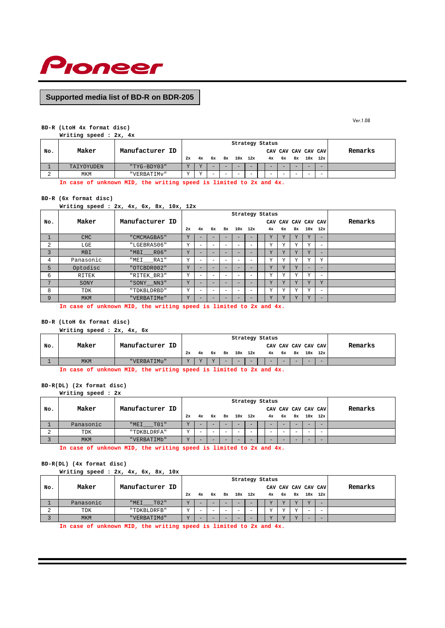

#### **BD-R (LtoH 4x format disc)**

**Writing speed : 2x, 4x**

|     |            |                 |           |    |        |    |     | Strategy Status |        |           |        |        |                     |         |
|-----|------------|-----------------|-----------|----|--------|----|-----|-----------------|--------|-----------|--------|--------|---------------------|---------|
| No. | Maker      | Manufacturer ID |           |    |        |    |     |                 |        |           |        |        | CAV CAV CAV CAV CAV | Remarks |
|     |            |                 | 2x        | 4x | 6x     | 8x | 10x | 12x             |        | $4x$ $6x$ | 8x     |        | $10x$ $12x$         |         |
|     | TAIYOYUDEN | "TYG-BDY03"     | <b>TT</b> |    |        |    | -   | -               |        |           | -      |        |                     |         |
|     | MKM        | "VERBATIMV"     | $\tau$    |    | $\sim$ | -  | -   | $\sim$          | $\sim$ | -         | $\sim$ | $\sim$ | $\sim$              |         |
|     | .          |                 |           |    |        |    |     | .               |        |           |        |        |                     |         |

**In case of unknown MID, the writing speed is limited to 2x and 4x.**

#### **BD-R (6x format disc)**

**Writing speed : 2x, 4x, 6x, 8x, 10x, 12x**

|     |            |                                                                                                                                                                                                                                | Strategy Status |    |        |    |  |             |  |              |    |              |                     |                          |         |
|-----|------------|--------------------------------------------------------------------------------------------------------------------------------------------------------------------------------------------------------------------------------|-----------------|----|--------|----|--|-------------|--|--------------|----|--------------|---------------------|--------------------------|---------|
| No. | Maker      | Manufacturer ID                                                                                                                                                                                                                |                 |    |        |    |  |             |  |              |    |              | CAV CAV CAV CAV CAV |                          | Remarks |
|     |            |                                                                                                                                                                                                                                | 2x              | 4x | 6x     | 8x |  | $10x$ $12x$ |  | 4x           | 6x |              | 8x 10x 12x          |                          |         |
|     | CMC        | "CMCMAGBA5"                                                                                                                                                                                                                    | Υ               |    |        |    |  |             |  | Υ            | Υ  |              | Y                   |                          |         |
| 2   | LGE        | "LGEBRAS06"                                                                                                                                                                                                                    | Υ               |    | -      |    |  | -           |  | $\mathbf v$  | v  | $\mathbf{v}$ | Υ                   | $\overline{\phantom{a}}$ |         |
| 3   | <b>MBI</b> | "MBI R06"                                                                                                                                                                                                                      | Y               |    | -      |    |  |             |  | Y            | Y  | $\mathbf{v}$ | Y                   |                          |         |
| 4   | Panasonic  | "MEI RA1"                                                                                                                                                                                                                      | Υ               |    | $\sim$ |    |  | -           |  | $\mathbf{v}$ | Y  |              | Υ                   | Y                        |         |
| 5   | Optodisc   | "OTCBDR002"                                                                                                                                                                                                                    | Y               |    | -      |    |  |             |  | Y            | Y  | $\mathbf{v}$ | -                   |                          |         |
| 6   | RITEK      | "RITEK BR3"                                                                                                                                                                                                                    | Υ               |    | -      |    |  |             |  | v            | v  |              | $\tau$              | $\overline{\phantom{a}}$ |         |
| 7   | SONY       | "SONY NN3"                                                                                                                                                                                                                     | Y               |    | -      |    |  |             |  | Y            | Y  | Y            | Y                   | Y                        |         |
| 8   | TDK        | "TDKBLDRBD"                                                                                                                                                                                                                    | Υ               |    | $\sim$ |    |  | -           |  | Y            | Y  | 37           | Υ                   | $\sim$                   |         |
| 9   | <b>MKM</b> | "VERBATIMe"                                                                                                                                                                                                                    | Υ               |    | -      |    |  | -           |  | Y            | Y  | $\mathbf{v}$ | Y                   | $\overline{\phantom{a}}$ |         |
|     |            | was a construction of the service of the construction of the field of the field of the construction of the construction of the construction of the construction of the construction of the construction of the construction of |                 |    |        |    |  |             |  |              |    |              |                     |                          |         |

**In case of unknown MID, the writing speed is limited to 2x and 4x.**

## **BD-R (LtoH 6x format disc)**

**Writing speed : 2x, 4x, 6x CAV CAV CAV CAV CAV No. Maker Manufacturer ID Remarks 2x 4x 6x 8x 10x 12x 4x 6x 8x 10x 12x** 1 MKM "VERBATIMu" Y Y Y Y - - - - - - - - - -**Strategy Status**

**In case of unknown MID, the writing speed is limited to 2x and 4x.**

**BD-R(DL) (2x format disc)**

**Writing speed : 2x**

|     | Strategy Status |                 |    |    |                          |  |  |               |  |                          |           |    |             |                     |         |
|-----|-----------------|-----------------|----|----|--------------------------|--|--|---------------|--|--------------------------|-----------|----|-------------|---------------------|---------|
| No. | Maker           | Manufacturer ID |    |    |                          |  |  |               |  |                          |           |    |             | CAV CAV CAV CAV CAV | Remarks |
|     |                 |                 | 2x | 4x |                          |  |  | 6x 8x 10x 12x |  |                          | $4x$ $6x$ | 8x | $10x$ $12x$ |                     |         |
|     | Panasonic       | "MEI TO1"       |    |    | $\overline{\phantom{a}}$ |  |  |               |  | $\overline{\phantom{a}}$ |           | -  |             | -                   |         |
| ∠   | TDK             | "TDKBLDRFA"     |    |    | -                        |  |  | $\sim$        |  | -                        |           | -  |             | -                   |         |
|     | <b>MKM</b>      | "VERBATIMb"     |    |    |                          |  |  | -             |  | $\overline{\phantom{a}}$ |           |    |             |                     |         |

**In case of unknown MID, the writing speed is limited to 2x and 4x.**

## **BD-R(DL) (4x format disc)**

**Writing speed : 2x, 4x, 6x, 8x, 10x**

|     |            |                 |           |                          |   |   | Strategy Status          |          |        |    |             |                     |         |
|-----|------------|-----------------|-----------|--------------------------|---|---|--------------------------|----------|--------|----|-------------|---------------------|---------|
| No. | Maker      | Manufacturer ID |           |                          |   |   |                          |          |        |    |             | CAV CAV CAV CAV CAV | Remarks |
|     |            |                 | 2x        | 4x                       |   |   | 6x 8x 10x 12x            | 4x 6x 8x |        |    | $10x$ $12x$ |                     |         |
|     | Panasonic  | "MEI TO2"       |           |                          | - |   | $\overline{\phantom{a}}$ |          |        |    |             |                     |         |
| ▵   | TDK        | "TDKBLDRFB"     | <b>TT</b> | $\overline{\phantom{a}}$ | - | - | $\sim$                   |          |        |    | $\sim$      | -                   |         |
|     | <b>MKM</b> | "VERBATIMd"     | $\tau$    |                          | - |   | $\overline{\phantom{a}}$ |          | $\tau$ | 77 | -           |                     |         |

**In case of unknown MID, the writing speed is limited to 2x and 4x.**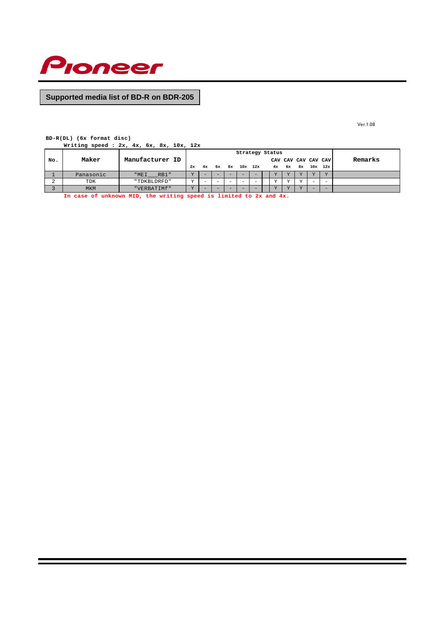

Ver.1.08

## **BD-R(DL) (6x format disc)**

**Writing speed : 2x, 4x, 6x, 8x, 10x, 12x**

|     | Strategy Status |                 |           |    |                          |                          |     |     |           |    |           |           |                          |         |
|-----|-----------------|-----------------|-----------|----|--------------------------|--------------------------|-----|-----|-----------|----|-----------|-----------|--------------------------|---------|
| No. | Maker           | Manufacturer ID |           |    |                          |                          |     |     |           |    |           |           | CAV CAV CAV CAV CAV      | Remarks |
|     |                 |                 | 2x        | 4x | 6x                       | 8x                       | 10x | 12x | 4x        | 6x | 8ж        |           | $10x$ $12x$              |         |
|     | Panasonic       | "MEI RB1"       | <b>TT</b> | -  |                          |                          | -   |     | <b>TT</b> |    |           | <b>TT</b> |                          |         |
| ∠   | TDK             | "TDKBLDRFD"     | <b>TT</b> | -  | $\overline{\phantom{0}}$ | $\overline{\phantom{0}}$ | -   | -   | <b>TT</b> |    | <b>TT</b> |           | $\overline{\phantom{0}}$ |         |
|     | <b>MKM</b>      | "VERBATIMf"     | $\tau$    |    |                          |                          | -   |     |           |    |           |           | -                        |         |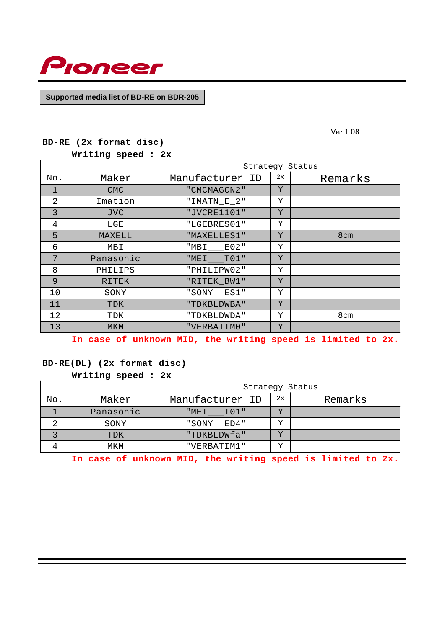

Ver.1.08

|  | BD-RE (2x format disc) |
|--|------------------------|

**Writing speed : 2x** 

|     |              |                 |    | Strategy Status |
|-----|--------------|-----------------|----|-----------------|
| No. | Maker        | Manufacturer ID | 2x | Remarks         |
| 1   | <b>CMC</b>   | " CMCMAGCN2"    | Y  |                 |
| 2   | Imation      | "IMATN_E_2"     | Υ  |                 |
| 3   | <b>JVC</b>   | "JVCRE1101"     | Y  |                 |
| 4   | LGE          | "LGEBRES01"     | Υ  |                 |
| 5   | MAXELL       | "MAXELLES1"     | Y  | 8cm             |
| 6   | MBI          | E02"<br>"MBI    | Υ  |                 |
| 7   | Panasonic    | $T01$ "<br>"MEI | Y  |                 |
| 8   | PHILIPS      | "PHILIPW02"     | Υ  |                 |
| 9   | <b>RITEK</b> | "RITEK_BW1"     | Y  |                 |
| 10  | SONY         | "SONY ES1"      | Υ  |                 |
| 11  | TDK          | "TDKBLDWBA"     | Y  |                 |
| 12  | TDK          | "TDKBLDWDA"     | Υ  | 8cm             |
| 13  | <b>MKM</b>   | "VERBATIMO"     | Y  |                 |

**In case of unknown MID, the writing speed is limited to 2x.**

# **BD-RE(DL) (2x format disc)**

**Writing speed : 2x**

|     |           |                 |                         | Strategy Status |
|-----|-----------|-----------------|-------------------------|-----------------|
| No. | Maker     | Manufacturer ID | 2x                      | Remarks         |
|     | Panasonic | "MEI TO1"       |                         |                 |
|     | SONY      | "SONY ED4"      | ٦T                      |                 |
|     | TDK       | "TDKBLDWfa"     | ٦7                      |                 |
|     | MKM       | "VERBATIM1"     | $\overline{\mathbf{v}}$ |                 |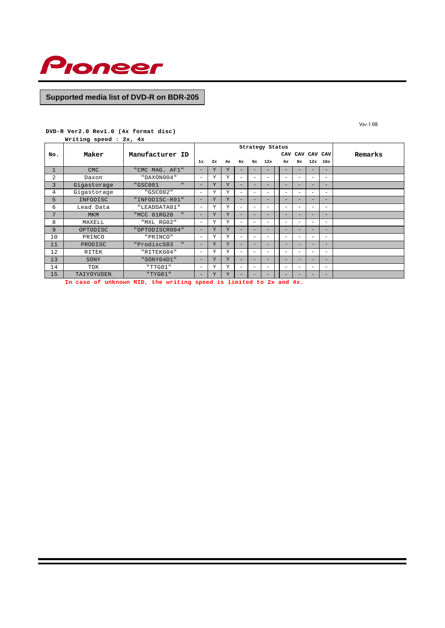

Ver.1.08

## **DVD-R Ver2.0 Rev1.0 (4x format disc)**

**Writing speed : 2x, 4x**

|     |             |                             |                          |    |    |                          |                          | Strategy Status          |                          |                          |                          |                          |         |
|-----|-------------|-----------------------------|--------------------------|----|----|--------------------------|--------------------------|--------------------------|--------------------------|--------------------------|--------------------------|--------------------------|---------|
| No. | Maker       | Manufacturer ID             |                          |    |    |                          |                          |                          | CAV                      |                          | CAV CAV CAV              |                          | Remarks |
|     |             |                             | 1x                       | 2x | 4x | 6x                       | 8x                       | 12x                      | 6x                       | 8x                       | 12x                      | 16x                      |         |
|     | <b>CMC</b>  | "CMC MAG. AF1"              | $\overline{\phantom{0}}$ | Y  | Y  | -                        | -                        | $\overline{\phantom{0}}$ | $\overline{\phantom{0}}$ |                          | -                        | -                        |         |
| 2   | Daxon       | "DAXON004"                  | $\sim$                   | Y  | Y  | $\overline{\phantom{a}}$ | -                        | $\sim$                   | $\overline{\phantom{m}}$ | $\sim$                   | -                        | -                        |         |
| 3   | Gigastorage | $\mathbf{u}$<br>"GSC001     | $\overline{\phantom{a}}$ | Y  | Y  | -                        | -                        |                          | -                        | -                        | -                        | -                        |         |
| 4   | Gigastorage | "GSC002"                    | $\overline{\phantom{a}}$ | Υ  | Y  |                          | $\overline{\phantom{0}}$ | $\qquad \qquad$          |                          | $\overline{\phantom{0}}$ | $\overline{\phantom{0}}$ | $\sim$                   |         |
| 5   | INFODISC    | "INFODISC-R01"              | $\overline{\phantom{a}}$ | Y  | Y  | -                        | -                        | -                        | -                        | -                        | -                        | -                        |         |
| 6   | Lead Data   | "LEADDATA01"                | $\overline{\phantom{a}}$ | Y  | Y  |                          | -                        | $\qquad \qquad$          |                          | $\overline{\phantom{0}}$ | $\overline{\phantom{0}}$ | -                        |         |
| 7   | <b>MKM</b>  | "MCC 01RG20<br>$\mathbf{u}$ | $\overline{\phantom{a}}$ | Y  | Y  | -                        | -                        |                          | -                        | -                        | -                        | -                        |         |
| 8   | MAXELL      | "MXL RG02"                  | $\overline{\phantom{a}}$ | Υ  | Y  | $\overline{\phantom{a}}$ | $\equiv$                 | $\overline{\phantom{a}}$ |                          | -                        | $\equiv$                 | $\overline{\phantom{a}}$ |         |
| 9   | OPTODISC    | "OPTODISCR004"              | $\overline{\phantom{a}}$ | Y  | Y  | -                        | -                        | $\overline{\phantom{0}}$ | $\overline{\phantom{0}}$ | $\overline{\phantom{0}}$ | -                        | $\overline{\phantom{0}}$ |         |
| 10  | PRINCO      | "PRINCO"                    | $\overline{\phantom{a}}$ | Υ  | Y  |                          | $\overline{\phantom{0}}$ | $\qquad \qquad$          |                          | $\overline{\phantom{0}}$ | $\overline{\phantom{0}}$ | $\overline{\phantom{a}}$ |         |
| 11  | PRODISC     | "ProdiscS03                 | $\overline{\phantom{a}}$ | Y  | Y  | -                        | -                        | -                        | $\overline{\phantom{0}}$ | -                        | -                        | $\overline{\phantom{0}}$ |         |
| 12  | RITEK       | "RITEKG04"                  | -                        | Y  | Y  | $\overline{\phantom{a}}$ | -                        | $\sim$                   | $\overline{\phantom{m}}$ | -                        | $\equiv$                 | -                        |         |
| 13  | SONY        | "SONY04D1"                  | $\overline{\phantom{0}}$ | Y  | Y  | -                        | -                        | $\overline{\phantom{0}}$ | $\overline{\phantom{0}}$ | $\overline{\phantom{0}}$ | -                        | -                        |         |
| 14  | TDK         | "TTG01"                     | $\overline{\phantom{0}}$ | Y  | Y  | $\overline{\phantom{m}}$ | $\equiv$                 | $\overline{\phantom{a}}$ |                          | -                        | $\equiv$                 | $\overline{\phantom{a}}$ |         |
| 15  | TAIYOYUDEN  | "TYG01"                     | $\overline{\phantom{a}}$ | Y  | Y  |                          | -                        | -                        | -                        | -                        | -                        | $\qquad \qquad -$        |         |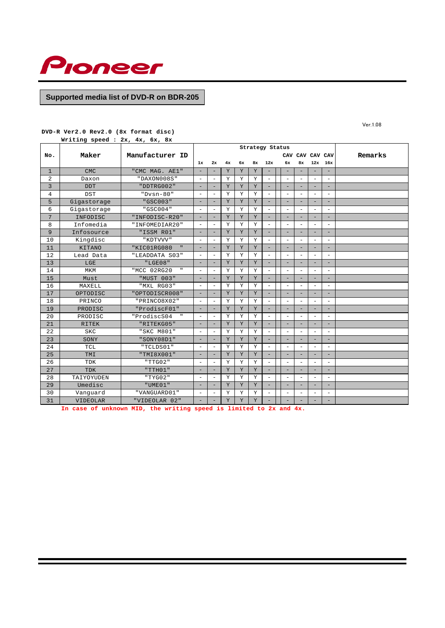

**DVD-R Ver2.0 Rev2.0 (8x format disc)**

**Writing speed : 2x, 4x, 6x, 8x**

|              |                 |                             | Strategy Status<br>CAV CAV CAV CAV |                          |             |    |             |                          |                          |                          |                          |                          |                          |         |
|--------------|-----------------|-----------------------------|------------------------------------|--------------------------|-------------|----|-------------|--------------------------|--------------------------|--------------------------|--------------------------|--------------------------|--------------------------|---------|
| No.          | Maker           | Manufacturer ID             |                                    |                          |             |    |             |                          |                          |                          |                          |                          |                          | Remarks |
|              |                 |                             | 1x                                 | 2x                       | 4x          | 6x | 8x          | 12x                      |                          | 6x                       | 8x                       | 12x                      | 16x                      |         |
| $\mathbf{1}$ | <b>CMC</b>      | "CMC MAG. AE1"              |                                    | ۰                        | Y           | Y  | Y           | $\overline{\phantom{a}}$ | $\equiv$                 |                          | -                        |                          | $\equiv$                 |         |
| 2            | Daxon           | "DAXON008S"                 | $\overline{\phantom{0}}$           | $\overline{\phantom{a}}$ | Y           | Υ  | Y           | $\overline{\phantom{a}}$ |                          | $\overline{\phantom{a}}$ | -                        |                          | $\overline{\phantom{a}}$ |         |
| 3            | <b>DDT</b>      | "DDTRG002"                  | $\overline{\phantom{0}}$           | $\overline{\phantom{0}}$ | Y           | Y  | Y           | $\overline{\phantom{a}}$ |                          | $\qquad \qquad -$        | $\qquad \qquad -$        | -                        | $\overline{\phantom{a}}$ |         |
| 4            | <b>DST</b>      | $"Dvsn-80"$                 | $\overline{\phantom{0}}$           | ÷                        | Υ           | Υ  | Υ           | $\overline{\phantom{a}}$ |                          | $\overline{\phantom{a}}$ | ۰                        | $\overline{\phantom{a}}$ | $\overline{\phantom{a}}$ |         |
| 5            | Gigastorage     | "GSC003"                    | -                                  |                          | $\mathbf Y$ | Y  | $\mathbf Y$ | $\overline{\phantom{a}}$ |                          | ÷                        | -                        |                          | $\overline{\phantom{0}}$ |         |
| 6            | Gigastorage     | "GSC004"                    | ۰                                  | $\overline{\phantom{a}}$ | Y           | Y  | Y           | $\overline{\phantom{a}}$ |                          | $\overline{\phantom{a}}$ | $\overline{\phantom{0}}$ | $\overline{\phantom{0}}$ | $\overline{\phantom{a}}$ |         |
| 7            | INFODISC        | "INFODISC-R20"              |                                    | ۰                        | Y           | Y  | Y           | ۰                        |                          | -                        |                          |                          | $\overline{\phantom{a}}$ |         |
| 8            | Infomedia       | "INFOMEDIAR20"              |                                    | $\overline{a}$           | $\mathbf Y$ | Υ  | Y           | $\overline{\phantom{a}}$ |                          | $\overline{\phantom{a}}$ | $\overline{\phantom{0}}$ |                          | $\overline{\phantom{a}}$ |         |
| 9            | Infosource      | "ISSM R01"                  | $\overline{\phantom{0}}$           | $\overline{\phantom{0}}$ | Y           | Y  | Y           | $\overline{\phantom{a}}$ |                          | $\qquad \qquad -$        | $\qquad \qquad -$        | -                        | $\overline{\phantom{a}}$ |         |
| 10           | Kingdisc        | "KDTVVV"                    | $\overline{\phantom{a}}$           | $\overline{\phantom{a}}$ | Y           | Υ  | Y           | $\overline{\phantom{a}}$ | $\overline{\phantom{a}}$ |                          | ۰                        | $\equiv$                 | $\overline{\phantom{a}}$ |         |
| 11           | <b>KITANO</b>   | "KIC01RG080<br>$\mathbf{H}$ |                                    |                          | Y           | Y  | Y           | $\overline{\phantom{a}}$ |                          |                          |                          |                          | $\overline{\phantom{a}}$ |         |
| 12           | Lead Data       | "LEADDATA S03"              | $\overline{\phantom{0}}$           | $\overline{\phantom{a}}$ | Y           | Y  | Υ           | $\overline{\phantom{a}}$ |                          | $\overline{\phantom{a}}$ | -                        | $\overline{\phantom{0}}$ | $\overline{\phantom{a}}$ |         |
| 13           | LGE             | "LGE08"                     |                                    | ۰                        | Y           | Y  | Y           | $\overline{\phantom{a}}$ |                          | -                        |                          |                          | $\overline{\phantom{0}}$ |         |
| 14           | MKM             | "MCC 02RG20                 | $\overline{\phantom{0}}$           | $\overline{a}$           | Y           | Y  | Y           | $\overline{\phantom{a}}$ |                          | $\overline{\phantom{0}}$ | ۳                        |                          | $\overline{\phantom{a}}$ |         |
| 15           | Must            | "MUST 003"                  | ۰                                  | ۰                        | Υ           | Y  | Y           | $\overline{\phantom{a}}$ |                          | -                        | -                        | -                        | $\qquad \qquad -$        |         |
| 16           | MAXELL          | "MXL RG03"                  | ÷                                  | ÷                        | Y           | Υ  | Υ           | $\equiv$                 | $\equiv$                 |                          | ۰                        | $\overline{\phantom{a}}$ | $\overline{\phantom{a}}$ |         |
| 17           | OPTODISC        | "OPTODISCR008"              |                                    |                          | Y           | Y  | Y           | $\overline{\phantom{a}}$ |                          | -                        | -                        |                          | $\sim$                   |         |
| 18           | PRINCO          | "PRINCO8X02"                | $\overline{\phantom{a}}$           | $\overline{\phantom{a}}$ | Y           | Y  | Υ           | $\overline{\phantom{a}}$ | $\sim$                   |                          | $\overline{\phantom{a}}$ | $\overline{\phantom{a}}$ | $\overline{\phantom{a}}$ |         |
| 19           | PRODISC         | "ProdiscF01"                |                                    | ۰                        | Y           | Y  | Y           | $\overline{\phantom{a}}$ |                          | -                        |                          |                          | $\equiv$                 |         |
| 20           | PRODISC         | "ProdiscS04                 | $\overline{\phantom{0}}$           | $\overline{\phantom{a}}$ | Y           | Y  | Y           | $\overline{\phantom{a}}$ |                          | $\overline{\phantom{a}}$ | $\overline{\phantom{a}}$ |                          | $\overline{\phantom{a}}$ |         |
| 21           | <b>RITEK</b>    | "RITEKG05"                  | ۰                                  | ۰                        | $\mathbf Y$ | Y  | Y           | $\overline{\phantom{a}}$ | $\overline{\phantom{a}}$ |                          | ٠                        | -                        | $\qquad \qquad -$        |         |
| 22           | <b>SKC</b>      | "SKC M801"                  | $\overline{\phantom{a}}$           | $\overline{\phantom{a}}$ | Y           | Υ  | Y           | $\overline{\phantom{a}}$ | $\overline{\phantom{a}}$ |                          | ۰                        | $\overline{\phantom{a}}$ | $\overline{\phantom{a}}$ |         |
| 23           | SONY            | "SONY08D1"                  | -                                  | ۰                        | Y           | Y  | Y           | $\overline{\phantom{a}}$ |                          | -                        | -                        |                          | $\overline{\phantom{a}}$ |         |
| 24           | TCL             | "TCLDS01"                   | $\overline{\phantom{0}}$           | $\overline{\phantom{a}}$ | Y           | Y  | Y           | $\overline{\phantom{a}}$ |                          | $\overline{\phantom{0}}$ | ۳                        | $\equiv$                 | $\overline{\phantom{a}}$ |         |
| 25           | TMI             | "TMI8X001"                  | -                                  |                          | Y           | Y  | Y           | $\overline{\phantom{a}}$ |                          | -                        |                          |                          | $\overline{\phantom{a}}$ |         |
| 26           | TDK             | "TTG02"                     | $\overline{\phantom{0}}$           | $\overline{\phantom{a}}$ | Υ           | Υ  | Υ           | $\overline{\phantom{a}}$ |                          | $\overline{\phantom{0}}$ | $\overline{\phantom{a}}$ | $\overline{\phantom{0}}$ | $\overline{\phantom{a}}$ |         |
| 27           | <b>TDK</b>      | "TH01"                      | ۰                                  | ۰                        | Y           | Y  | Y           | $\overline{\phantom{a}}$ |                          | -                        | ٠                        | -                        | $\overline{\phantom{a}}$ |         |
| 28           | TAIYOYUDEN      | "TYG02"                     | $\overline{\phantom{a}}$           | $\overline{\phantom{a}}$ | Υ           | Υ  | Υ           | $\overline{\phantom{a}}$ | $\overline{\phantom{a}}$ |                          | $\overline{\phantom{a}}$ | $\overline{\phantom{a}}$ | $\overline{\phantom{a}}$ |         |
| 29           | Umedisc         | "UME01"                     | ÷                                  | ÷                        | Y           | Υ  | $\mathbf Y$ | $\overline{\phantom{a}}$ |                          | $\overline{\phantom{0}}$ | ÷                        |                          | $\overline{\phantom{0}}$ |         |
| 30           | Vanguard        | "VANGUARD01"                | $\overline{\phantom{0}}$           | $\overline{\phantom{a}}$ | Y           | Y  | Υ           | $\overline{\phantom{a}}$ |                          | $\overline{\phantom{a}}$ | $\overline{\phantom{0}}$ | $\overline{\phantom{0}}$ | $\overline{\phantom{a}}$ |         |
| 31           | <b>VIDEOLAR</b> | "VIDEOLAR 02"               |                                    |                          | Y           | Y  | Y           |                          |                          |                          |                          |                          | ۰                        |         |

**In case of unknown MID, the writing speed is limited to 2x and 4x.**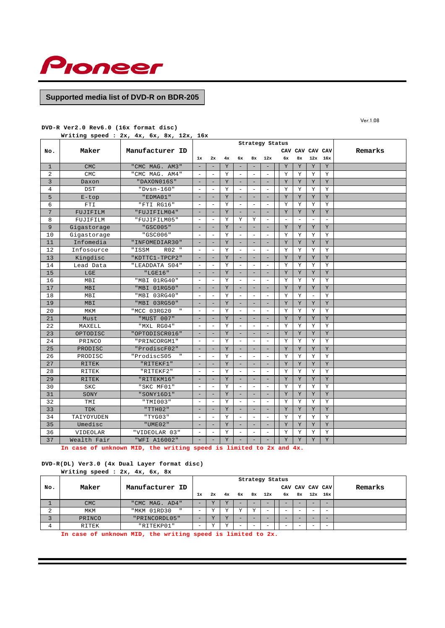

**DVD-R Ver2.0 Rev6.0 (16x format disc)**

**Writing speed : 2x, 4x, 6x, 8x, 12x, 16x**

|                 |              |                 | Strategy Status<br>CAV CAV CAV CAV |                          |             |                          |                          |                          |                   |                   |                          |                          |         |
|-----------------|--------------|-----------------|------------------------------------|--------------------------|-------------|--------------------------|--------------------------|--------------------------|-------------------|-------------------|--------------------------|--------------------------|---------|
| No.             | Maker        | Manufacturer ID |                                    |                          |             |                          |                          |                          |                   |                   |                          |                          | Remarks |
|                 |              |                 | 1x                                 | 2x                       | 4x          | 6x                       | 8x                       | 12x                      | 6x                | 8x                | 12x                      | 16x                      |         |
| $\mathbf{1}$    | <b>CMC</b>   | "CMC MAG. AM3"  | ٠                                  | ٠                        | Y           | $\qquad \qquad -$        | ۰                        | $\overline{\phantom{a}}$ | Y                 | Y                 | Y                        | Y                        |         |
| 2               | <b>CMC</b>   | "CMC MAG. AM4"  | $\overline{\phantom{a}}$           | $\overline{\phantom{a}}$ | Y           | $\overline{\phantom{a}}$ | $\overline{\phantom{a}}$ | $\sim$                   | Y                 | Υ                 | Y                        | Y                        |         |
| 3               | Daxon        | "DAXON016S"     | $\overline{\phantom{a}}$           | ÷                        | Y           | $\overline{\phantom{a}}$ |                          | $\overline{\phantom{a}}$ | Y                 | Y                 | Y                        | Y                        |         |
| 4               | <b>DST</b>   | "Dvsn-160"      | $\overline{\phantom{m}}$           | $\qquad \qquad -$        | Y           | $\overline{\phantom{a}}$ | $\overline{\phantom{a}}$ | $\overline{\phantom{a}}$ | Υ                 | Υ                 | Υ                        | Υ                        |         |
| 5               | $E$ -top     | "EDMA01"        | ٠                                  |                          | $\mathbf Y$ | $\overline{\phantom{a}}$ |                          | ÷                        | $\mathbf Y$       | $\rm Y$           | Y                        | Y                        |         |
| 6               | FTI          | "FTI RG16"      | $\overline{\phantom{a}}$           | ۰                        | Y           | $\overline{\phantom{a}}$ | $\overline{\phantom{a}}$ | $\overline{\phantom{a}}$ | Y                 | Y                 | Y                        | Y                        |         |
| $7\overline{ }$ | FUJIFILM     | "FUJIFILM04"    |                                    |                          | Y           |                          |                          | $\overline{\phantom{a}}$ | Y                 | Y                 | Y                        | Y                        |         |
| 8               | FUJIFILM     | "FUJIFILM05"    | ۰                                  | ۰                        | Y           | Υ                        | Υ                        | $\overline{\phantom{a}}$ | $\qquad \qquad -$ | $\qquad \qquad -$ | $\overline{\phantom{a}}$ | $\overline{\phantom{a}}$ |         |
| 9               | Gigastorage  | "GSC005"        | $\overline{\phantom{a}}$           | ۰                        | $\mathbf Y$ | $\overline{\phantom{0}}$ |                          | $\overline{\phantom{a}}$ | $\mathbf Y$       | $\rm Y$           | $\mathbf Y$              | $\mathbf Y$              |         |
| 10              | Gigastorage  | "GSC006"        | $\sim$                             | $\sim$                   | Y           | $\overline{\phantom{a}}$ | $\overline{\phantom{a}}$ | $\overline{\phantom{a}}$ | Y                 | Y                 | Y                        | Y                        |         |
| 11              | Infomedia    | "INFOMEDIAR30"  | $\overline{\phantom{a}}$           | $\overline{\phantom{0}}$ | Y           | $\overline{\phantom{a}}$ | -                        | $\qquad \qquad -$        | Y                 | Y                 | Y                        | Y                        |         |
| 12              | Infosource   | "ISSM<br>R02 "  | $\overline{\phantom{a}}$           | ۰                        | Υ           | $\overline{\phantom{a}}$ | $\overline{\phantom{a}}$ | $\overline{\phantom{a}}$ | Υ                 | Υ                 | Y                        | Y                        |         |
| 13              | Kingdisc     | "KDTTC1-TPCP2"  |                                    |                          | Y           |                          |                          |                          | Y                 | Y                 | Y                        | Y                        |         |
| 14              | Lead Data    | "LEADDATA S04"  | $\overline{\phantom{a}}$           | $\overline{\phantom{a}}$ | Y           | $\overline{\phantom{a}}$ | $\overline{\phantom{a}}$ | $\sim$                   | Υ                 | Υ                 | Υ                        | Y                        |         |
| 15              | LGE          | "LGE16"         | ۰                                  | -                        | Y           | $\overline{\phantom{0}}$ |                          | $\overline{\phantom{0}}$ | Y                 | Y                 | Y                        | Y                        |         |
| 16              | MBI          | "MBI 01RG40"    | $\overline{\phantom{a}}$           | $\overline{\phantom{0}}$ | Y           | $\overline{\phantom{a}}$ | $\overline{\phantom{a}}$ | $\overline{\phantom{a}}$ | Υ                 | Y                 | Υ                        | Y                        |         |
| 17              | MBI          | "MBI 01RG50"    |                                    | ÷,                       | $\mathbf Y$ | $\overline{\phantom{0}}$ |                          | $\overline{\phantom{a}}$ | $\mathbf Y$       | $\rm Y$           | $\mathbf Y$              | $\mathbf Y$              |         |
| 18              | MBI          | "MBI 03RG40"    | ٠                                  | $\overline{\phantom{0}}$ | Y           | $\overline{\phantom{a}}$ | $\overline{\phantom{a}}$ | $\overline{\phantom{a}}$ | Υ                 | Υ                 | $\overline{\phantom{a}}$ | Y                        |         |
| 19              | <b>MBI</b>   | "MBI 03RG50"    | ٠                                  | $\overline{\phantom{0}}$ | Y           | -                        |                          | $\qquad \qquad -$        | Y                 | Y                 | Y                        | Y                        |         |
| 20              | MKM          | "MCC 03RG20     | $\overline{\phantom{a}}$           | ۰                        | Υ           | $\overline{\phantom{a}}$ | $\overline{\phantom{a}}$ | $\overline{\phantom{a}}$ | Υ                 | Υ                 | Υ                        | Υ                        |         |
| 21              | Must         | "MUST 007"      | $\overline{\phantom{a}}$           | ۰                        | Y           | $\overline{\phantom{a}}$ | з.                       | $\overline{\phantom{a}}$ | Y                 | Y                 | Y                        | Y                        |         |
| 22              | MAXELL       | "MXL RG04"      | ٠                                  | ۰                        | Y           | $\overline{\phantom{a}}$ | $\overline{\phantom{a}}$ | $\overline{\phantom{a}}$ | Υ                 | Υ                 | Υ                        | Y                        |         |
| 23              | OPTODISC     | "OPTODISCR016"  |                                    |                          | Y           | $\qquad \qquad -$        |                          | $\qquad \qquad -$        | Y                 | Y                 | Y                        | Y                        |         |
| 24              | PRINCO       | "PRINCORGM1"    | $\overline{\phantom{a}}$           | $\overline{\phantom{0}}$ | Υ           | $\overline{\phantom{a}}$ | $\sim$                   | $\sim$                   | Υ                 | Υ                 | Υ                        | Υ                        |         |
| 25              | PRODISC      | "ProdiscF02"    | ÷                                  | ÷                        | $\mathbf Y$ | $\overline{\phantom{0}}$ | -                        | $\overline{\phantom{0}}$ | Y                 | Y                 | Y                        | Y                        |         |
| 26              | PRODISC      | "ProdiscS05     | $\overline{\phantom{a}}$           | $\overline{\phantom{0}}$ | Y           | $\overline{\phantom{a}}$ | $\sim$                   | $\sim$                   | Y                 | Υ                 | Υ                        | Υ                        |         |
| 27              | <b>RITEK</b> | "RITEKF1"       | $\qquad \qquad -$                  | -                        | $\mathbf Y$ | $\overline{\phantom{a}}$ | $\overline{\phantom{m}}$ | $\overline{\phantom{a}}$ | Y                 | Y                 | Υ                        | Y                        |         |
| 28              | RITEK        | "RITEKF2"       | $\overline{\phantom{a}}$           | ۰                        | Y           | $\overline{\phantom{a}}$ | $\overline{\phantom{a}}$ | $\overline{\phantom{a}}$ | Y                 | Y                 | Υ                        | Υ                        |         |
| 29              | <b>RITEK</b> | "RITEKM16"      | ٠                                  |                          | Y           | $\equiv$                 |                          | ÷                        | Y                 | Y                 | Y                        | Y                        |         |
| 30              | <b>SKC</b>   | "SKC MF01"      | $\overline{\phantom{a}}$           | $\overline{\phantom{0}}$ | Y           | $\overline{\phantom{a}}$ | $\overline{\phantom{a}}$ | $\sim$                   | Υ                 | Υ                 | Υ                        | Y                        |         |
| 31              | SONY         | "SONY16D1"      | ٠                                  | ۰                        | Y           | $\qquad \qquad -$        | ۰                        | $\overline{\phantom{m}}$ | Y                 | Υ                 | Y                        | Y                        |         |
| 32              | TMI          | "TMI003"        | $\overline{\phantom{a}}$           | $\overline{\phantom{0}}$ | Y           | $\overline{\phantom{a}}$ | $\sim$                   | $\bar{a}$                | Υ                 | Y                 | Y                        | Y                        |         |
| 33              | <b>TDK</b>   | "TH02"          | ۰                                  | -                        | Y           | $\overline{\phantom{0}}$ |                          | $\overline{\phantom{0}}$ | Y                 | Y                 | Y                        | Y                        |         |
| 34              | TAIYOYUDEN   | "TYG03"         | $\overline{\phantom{a}}$           | $\overline{\phantom{0}}$ | Y           | $\overline{\phantom{a}}$ | $\overline{\phantom{a}}$ | $\overline{\phantom{a}}$ | Y                 | Y                 | Υ                        | Y                        |         |
| 35              | Umedisc      | "UME02"         | $\overline{\phantom{a}}$           |                          | Y           | -                        |                          | $\overline{\phantom{a}}$ | Υ                 | Y                 | Υ                        | Y                        |         |
| 36              | VIDEOLAR     | "VIDEOLAR 03"   | $\overline{\phantom{a}}$           | ۰                        | Y           | $\equiv$                 | ٠                        | $\sim$                   | Y                 | Y                 | Υ                        | Y                        |         |
| 37              | Wealth Fair  | "WFI A16002"    |                                    |                          | Y           |                          |                          |                          | Y                 | Y                 | Y                        | Y                        |         |

**In case of unknown MID, the writing speed is limited to 2x and 4x.**

## **DVD-R(DL) Ver3.0 (4x Dual Layer format disc)**

|        | Writing speed : 2x, 4x, 6x, 8x |                             |                          |              |              |        |        |                          |  |  |                 |         |
|--------|--------------------------------|-----------------------------|--------------------------|--------------|--------------|--------|--------|--------------------------|--|--|-----------------|---------|
|        |                                |                             |                          |              |              |        |        | Strategy Status          |  |  |                 |         |
| No.    | Maker                          | Manufacturer ID             |                          |              |              |        |        |                          |  |  | CAV CAV CAV CAV | Remarks |
|        |                                |                             | 1x                       | 2x           | 4x           |        |        | 6x 8x 12x 6x 8x          |  |  | $12x$ 16x       |         |
|        | <b>CMC</b>                     | "CMC MAG. AD4"              | $\overline{\phantom{a}}$ | $\mathbf{v}$ | $\mathbf{v}$ |        |        | $\overline{\phantom{a}}$ |  |  |                 |         |
| $\sim$ | MKM                            | "MKM 01RD30<br>$\mathbf{u}$ | $\overline{\phantom{a}}$ | v            | $\tau$       | $\tau$ | $\tau$ | -                        |  |  | $\sim$          |         |
| っ      | PRINCO                         | "PRINCORDL05"               | $\overline{\phantom{a}}$ | $\mathbf{v}$ | $\mathbf{v}$ |        |        | $\overline{\phantom{a}}$ |  |  |                 |         |
| 4      | RITEK                          | "RITEKP01"                  | $\overline{\phantom{a}}$ | v            | v            |        |        | $\overline{\phantom{a}}$ |  |  | $\sim$          |         |

**In case of unknown MID, the writing speed is limited to 2x.**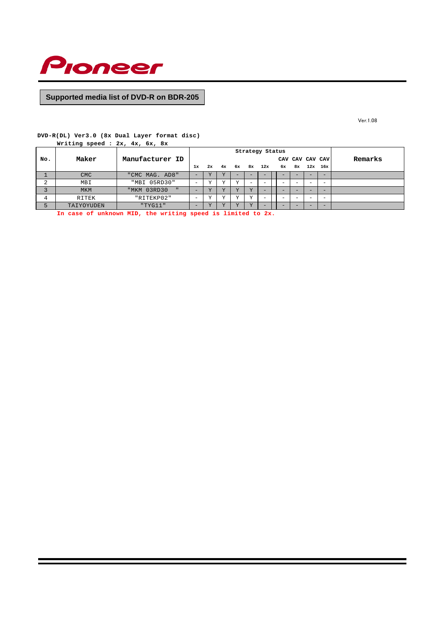

Ver.1.08

# **DVD-R(DL) Ver3.0 (8x Dual Layer format disc)**

|           | Writing speed : 2x, 4x, 6x, 8x |                 |    |        |                         |        |        |                          |   |                 |                          |         |
|-----------|--------------------------------|-----------------|----|--------|-------------------------|--------|--------|--------------------------|---|-----------------|--------------------------|---------|
|           |                                |                 |    |        |                         |        |        | Strategy Status          |   |                 |                          |         |
| No.       | Maker                          | Manufacturer ID |    |        |                         |        |        |                          |   | CAV CAV CAV CAV |                          | Remarks |
|           |                                |                 | 1x | 2x     |                         |        |        | 4x 6x 8x 12x             |   | 6x 8x 12x 16x   |                          |         |
|           | <b>CMC</b>                     | "CMC MAG. AD8"  | -  |        |                         |        |        |                          |   |                 |                          |         |
| $\bigcap$ | MBI                            | "MBI 05RD30"    | -  | $\tau$ | v                       | v      |        | $\overline{\phantom{a}}$ |   |                 |                          |         |
| 3         | <b>MKM</b>                     | "MKM 03RD30     |    |        | $\overline{\mathbf{v}}$ | $\tau$ | $\tau$ | -                        |   |                 |                          |         |
| 4         | RITEK                          | "RITEKP02"      | -  | $\tau$ | v                       | v      | $\tau$ | $\overline{\phantom{a}}$ | - |                 | $\overline{\phantom{a}}$ |         |
|           | TAIYOYUDEN                     | "TYG11"         | -  |        | T                       | $\tau$ | $\tau$ | -                        |   |                 |                          |         |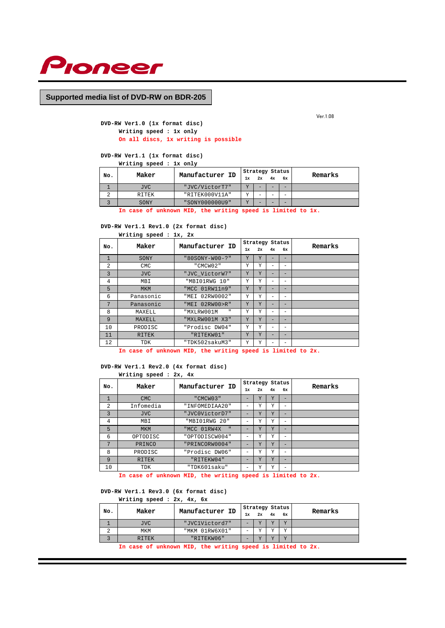

Ver.1.08

## **DVD-RW Ver1.0 (1x format disc) Writing speed : 1x only On all discs, 1x writing is possible**

**DVD-RW Ver1.1 (1x format disc)**

| Writing speed : 1x only |  |  |  |  |  |
|-------------------------|--|--|--|--|--|
|-------------------------|--|--|--|--|--|

| No. | Maker | Manufacturer ID |        |    | Strategy Status |                          | Remarks |
|-----|-------|-----------------|--------|----|-----------------|--------------------------|---------|
|     |       |                 | 1x     | 2x | 4x              | 6x                       |         |
|     | JVC.  | "JVC/VictorT7"  | $\tau$ |    |                 | -                        |         |
|     | RITEK | "RITEK000V11A"  | 37     | -  |                 | $\overline{\phantom{a}}$ |         |
|     | SONY  | "SONY000000U9"  | 77     | -  |                 | $-$                      |         |

**In case of unknown MID, the writing speed is limited to 1x.**

**DVD-RW Ver1.1 Rev1.0 (2x format disc)**

| Writing speed : 1x, 2x |  |  |  |
|------------------------|--|--|--|
|                        |  |  |  |

| No.            | Maker        | Manufacturer ID |    | Strategy Status |    |    | Remarks |
|----------------|--------------|-----------------|----|-----------------|----|----|---------|
|                |              |                 | 1x | 2x              | 4x | 6x |         |
| $\mathbf{1}$   | SONY         | "80SONY-W00-?"  | Y  | Y               |    | -  |         |
| $\overline{2}$ | <b>CMC</b>   | "CMCW02"        | Y  | Υ               | -  | -  |         |
| $\overline{3}$ | <b>JVC</b>   | "JVC_VictorW7"  | Y  | Y               |    | -  |         |
| 4              | MBI          | "MBIO1RWG 10"   | Y  | Υ               | -  | -  |         |
| 5              | <b>MKM</b>   | "MCC 01RW11n9"  | Y  | Y               | -  | -  |         |
| 6              | Panasonic    | "MEI 02RW0002"  | Υ  | Υ               | -  | -  |         |
| 7              | Panasonic    | "MEI 02RW00>R"  | Y  | Y               |    | -  |         |
| 8              | MAXELL       | "MXLRW001M<br>п | Y  | Υ               | -  | -  |         |
| 9              | MAXELL       | "MXLRW001M X3"  | Y  | Υ               |    | -  |         |
| 10             | PRODISC      | "Prodisc DW04"  | Y  | Υ               | -  | -  |         |
| 11             | <b>RITEK</b> | "RITEKW01"      | Y  | Y               | -  | -  |         |
| 12             | TDK          | "TDK502sakuM3"  | Υ  | Υ               |    | -  |         |

**In case of unknown MID, the writing speed is limited to 2x.**

## **DVD-RW Ver1.1 Rev2.0 (4x format disc)**

## **Writing speed : 2x, 4x**

|                | Maker        |                             |                          |    | Strategy Status |    |         |
|----------------|--------------|-----------------------------|--------------------------|----|-----------------|----|---------|
| No.            |              | Manufacturer ID             | 1x                       | 2x | 4x              | 6x | Remarks |
| $\mathbf{1}$   | <b>CMC</b>   | "CMCW03"                    | -                        | Υ  | Y               | -  |         |
| 2              | Infomedia    | "INFOMEDIAA20"              | $\overline{\phantom{a}}$ | Υ  | Y               | -  |         |
| $\overline{3}$ | <b>JVC</b>   | "JVC0VictorD7"              | -                        | Y  | Y               | -  |         |
| 4              | MBI          | "MBI01RWG 20"               | -                        | Υ  | Y               | -  |         |
| 5              | <b>MKM</b>   | "MCC 01RW4X<br>$\mathbf{u}$ |                          | Υ  | Y               | -  |         |
| 6              | OPTODISC     | "OPTODISCW004"              | $\overline{\phantom{a}}$ | Υ  | Υ               | -  |         |
| 7              | PRINCO       | "PRINCORW0004"              | $\overline{\phantom{a}}$ | Y  | Y               | -  |         |
| 8              | PRODISC      | "Prodisc DW06"              | -                        | Y  | Y               | -  |         |
| 9              | <b>RITEK</b> | "RITEKW04"                  | $\overline{\phantom{a}}$ | Y  | Y               | -  |         |
| 10             | TDK          | "TDK601saku"                | -                        | Y  | Y               | -  |         |

**In case of unknown MID, the writing speed is limited to 2x.**

# **DVD-RW Ver1.1 Rev3.0 (6x format disc)**

**Writing speed : 2x, 4x, 6x**

| No. | Maker      | Manufacturer ID |    | Strategy Status |                |                | Remarks |
|-----|------------|-----------------|----|-----------------|----------------|----------------|---------|
|     |            |                 | 1x | 2x              | 4x             | 6x             |         |
|     | <b>JVC</b> | "JVC1Victord7"  |    | 77              | $\overline{V}$ | $\overline{V}$ |         |
| z.  | MKM        | "MKM 01RW6X01"  | -  | 37              | <b>TT</b>      | <b>TT</b>      |         |
|     | RITEK      | "RITEKWO6"      | -  | 77              | <b>TT</b>      | $\overline{V}$ |         |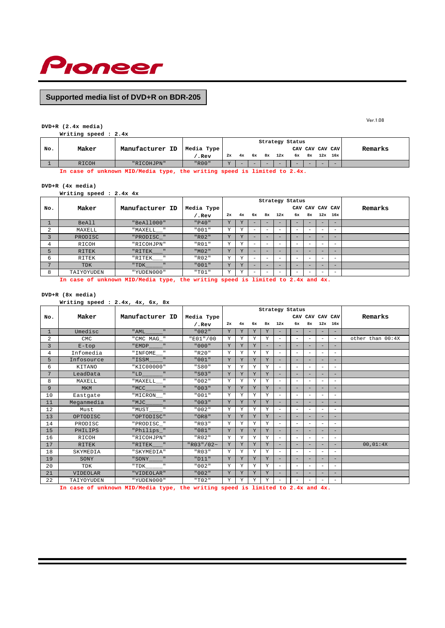

#### **DVD+R (2.4x media) Writing speed : 2.4x**

|     | 11222119 00000 1111 |                 |            |           |    |                          |        |                 |                                                                                                                                                                                                                                      |                 |                          |     |         |
|-----|---------------------|-----------------|------------|-----------|----|--------------------------|--------|-----------------|--------------------------------------------------------------------------------------------------------------------------------------------------------------------------------------------------------------------------------------|-----------------|--------------------------|-----|---------|
|     |                     |                 |            |           |    |                          |        | Strategy Status |                                                                                                                                                                                                                                      |                 |                          |     |         |
| No. | Maker               | Manufacturer ID | Media Type |           |    |                          |        |                 |                                                                                                                                                                                                                                      | CAV CAV CAV CAV |                          |     | Remarks |
|     |                     |                 | .Rev       | 2x        | 4x | 6х                       | 8ж     | 12x             | 6х                                                                                                                                                                                                                                   |                 | 8x 12x 16x               |     |         |
|     | RICOH               | "RICOHJPN"      | $"$ $R00"$ | <b>TZ</b> |    | $\overline{\phantom{0}}$ | $\sim$ | $-$             | <b>The Contract of the Contract of the Contract of the Contract of the Contract of The Contract of The Contract of The Contract of The Contract of The Contract of The Contract of The Contract of The Contract of The Contract </b> |                 | $\overline{\phantom{0}}$ | $-$ |         |

**In case of unknown MID/Media type, the writing speed is limited to 2.4x.**

#### **DVD+R (4x media)**

**Writing speed : 2.4x 4x**

|                |              |                           |                   |    |                |                          |                          | Strategy Status          |                          |    |                          |     |         |
|----------------|--------------|---------------------------|-------------------|----|----------------|--------------------------|--------------------------|--------------------------|--------------------------|----|--------------------------|-----|---------|
| No.            | Maker        | Manufacturer ID           | Media Type        |    |                |                          |                          |                          |                          |    | CAV CAV CAV CAV          |     | Remarks |
|                |              |                           | $^{\prime}$ . Rev | 2x | 4x             | 6x                       | 8x                       | 12x                      | 6x                       | 8x | 12x                      | 16x |         |
|                | <b>BeAll</b> | "BeAll000"                | "P40"             | Y  |                |                          | -                        |                          |                          |    |                          | -   |         |
| 2              | MAXELL       | "MAXELL "                 | "001"             | Y  |                | -                        |                          |                          |                          |    |                          | -   |         |
| 3              | PRODISC      | "PRODISC_"                | "R02"             | Y  | T              | -                        | -                        |                          |                          |    | -                        | -   |         |
| 4              | RICOH        | "RICOHJPN"                | "R01"             | Y  | <b>TT</b>      | $\overline{\phantom{0}}$ | $\overline{\phantom{0}}$ |                          |                          |    | $\overline{\phantom{0}}$ | -   |         |
| 5              | <b>RITEK</b> | $"RITER$ <sub>___</sub> " | "M02"             | Y  |                |                          |                          |                          |                          |    |                          | -   |         |
| 6              | RITEK        | —— "<br>"RITEK            | "R02"             | Υ  | $\tau$         | -                        | $\qquad \qquad$          | $\overline{\phantom{a}}$ | $\overline{\phantom{0}}$ |    | $\overline{\phantom{m}}$ | -   |         |
| $\overline{7}$ | TDK          | "TDK<br>n                 | "001"             | Y  | $\overline{X}$ | -                        | $\overline{\phantom{0}}$ |                          | -                        |    | -                        | $-$ |         |
| 8              | TAIYOYUDEN   | "YUDEN000"                | "T01"             | Υ  | <b>TP</b>      | -                        |                          |                          |                          |    |                          | -   |         |

**In case of unknown MID/Media type, the writing speed is limited to 2.4x and 4x.**

# **DVD+R (8x media)**

| vv+k (8x media)                            |  |  |  |
|--------------------------------------------|--|--|--|
| Writing speed: $2.4x$ , $4x$ , $6x$ , $8x$ |  |  |  |

|                |                 |                                     |             | Strategy Status<br>CAV CAV CAV CAV |    |    |    |                          |                          |                          |                          |                          |                  |
|----------------|-----------------|-------------------------------------|-------------|------------------------------------|----|----|----|--------------------------|--------------------------|--------------------------|--------------------------|--------------------------|------------------|
| No.            | Maker           | Manufacturer ID                     | Media Type  |                                    |    |    |    |                          |                          |                          |                          |                          | Remarks          |
|                |                 |                                     | $/$ . Rev   | 2x                                 | 4x | 6x | 8x | 12x                      | 6x                       | 8x                       | $12x$ 16x                |                          |                  |
| $\mathbf{1}$   | Umedisc         | " AML<br>$\mathbf{H}$               | "002"       | Y                                  | Y  | Y  | Y  | $\overline{\phantom{0}}$ | -                        | $\overline{\phantom{a}}$ | $\equiv$                 | ÷                        |                  |
| 2              | <b>CMC</b>      | "CMC MAG_"                          | "E01" / 00  | Y                                  | Y  | Y  | Y  | $\overline{\phantom{m}}$ | ÷                        | $\overline{\phantom{a}}$ | $\overline{\phantom{a}}$ | $\overline{\phantom{a}}$ | other than 00:4X |
| $\overline{3}$ | $E$ -top        | "EMDP_<br>$\mathbf{u} = \mathbf{u}$ | "000"       | Y                                  | Y  | Y  | ÷. | ۰                        | Ξ.                       |                          | $\qquad \qquad -$        | -                        |                  |
| 4              | Infomedia       | "INFOME__"                          | "R20"       | Y                                  | Y  | Y  | Y  | $\overline{a}$           | $\overline{a}$           | $\overline{\phantom{a}}$ | $\overline{\phantom{a}}$ | $\overline{\phantom{a}}$ |                  |
| 5              | Infosource      | $\mathbf{H}$<br>"ISSM               | "001"       | Y                                  | Y  | Y  | Y  |                          | Ξ.                       | $\overline{\phantom{a}}$ | $\equiv$                 | ÷                        |                  |
| 6              | KITANO          | "KIC00000"                          | "S80"       | Y                                  | Υ  | Y  | Y  | $\overline{\phantom{a}}$ | $\overline{\phantom{0}}$ | $\overline{\phantom{0}}$ | $\overline{\phantom{m}}$ | $\overline{\phantom{0}}$ |                  |
| 7              | LeadData        | "LD<br>$\mathbf{H}$                 | "S03"       | Y                                  | Y  | Y  | Y  | $\equiv$                 | Ξ.                       | $\overline{\phantom{a}}$ | $\overline{\phantom{a}}$ | ÷                        |                  |
| 8              | MAXELL          | "MAXELL__"                          | "002"       | Y                                  | Υ  | Y  | Y  | $\overline{a}$           | $\overline{a}$           | $\overline{\phantom{a}}$ | $\overline{\phantom{a}}$ | $\overline{\phantom{a}}$ |                  |
| 9              | <b>MKM</b>      | $\mathbf{H}$ .<br>"MCC              | "003"       | Y                                  | Y  | Y  | Y  | $\overline{\phantom{0}}$ | $\overline{a}$           | $\overline{\phantom{a}}$ | $\equiv$                 | ÷                        |                  |
| 10             | Eastgate        | "MICRON "                           | "001"       | Y                                  | Y  | Y  | Y  | $\overline{a}$           | $\overline{a}$           | $\overline{\phantom{a}}$ | $\overline{\phantom{a}}$ | $\overline{\phantom{a}}$ |                  |
| 11             | Meganmedia      | $\mathbf{H}$<br>"MJC                | "003"       | Y                                  | Y  | Y  | Y  |                          | ÷                        | ۰                        | $\equiv$                 |                          |                  |
| 12             | Must            | $\mathbf{H}$<br>"MUST               | "002"       | Υ                                  | Υ  | Y  | Υ  | $\overline{a}$           | $\overline{\phantom{0}}$ | $\overline{\phantom{a}}$ | $\overline{\phantom{a}}$ | $\overline{\phantom{0}}$ |                  |
| 13             | OPTODISC        | "OPTODISC"                          | "OR8"       | Y                                  | Y  | Y  | Y  |                          | $\overline{a}$           | $\overline{\phantom{a}}$ | $\qquad \qquad -$        | н.                       |                  |
| 14             | PRODISC         | "PRODISC_"                          | "R03"       | Y                                  | Υ  | Y  | Y  | $\overline{a}$           | $\overline{a}$           | $\overline{\phantom{a}}$ | $\overline{\phantom{a}}$ | $\overline{\phantom{a}}$ |                  |
| 15             | PHILIPS         | "Philips_"                          | "081"       | Y                                  | Y  | Y  | Y  | $\equiv$                 | Ξ.                       | $\overline{\phantom{a}}$ | $\equiv$                 | ÷                        |                  |
| 16             | RICOH           | "RICOHJPN"                          | $"$ $R02"$  | Y                                  | Y  | Y  | Y  | $\overline{\phantom{a}}$ | ÷                        | $\overline{\phantom{a}}$ | $\overline{\phantom{a}}$ | $\overline{\phantom{a}}$ |                  |
| 17             | <b>RITEK</b>    | "RITEK<br>$\sim$ 10 $\,$            | "R03" / 02" | Y                                  | Y  | Y  | Y  | $\overline{\phantom{0}}$ | Ξ.                       | $\overline{\phantom{a}}$ | $\equiv$                 | ÷                        | 00,01:4X         |
| 18             | SKYMEDIA        | "SKYMEDIA"                          | $"$ R03"    | Y                                  | Y  | Y  | Y  | $\overline{a}$           | $\overline{a}$           | $\overline{\phantom{a}}$ | $\overline{\phantom{a}}$ | $\overline{\phantom{a}}$ |                  |
| 19             | SONY            | $\mathbf{H}$<br>"SONY               | "D11"       | Y                                  | Y  | Y  | Y  | $\equiv$                 | ÷                        | $\overline{\phantom{a}}$ | $\equiv$                 | ÷                        |                  |
| 20             | TDK             | $\mathbf{H}$<br>" TDK               | "002"       | Y                                  | Υ  | Y  | Y  | $\overline{\phantom{m}}$ | $\overline{\phantom{0}}$ | $\overline{\phantom{m}}$ | $\overline{\phantom{a}}$ | $\overline{\phantom{a}}$ |                  |
| 21             | <b>VIDEOLAR</b> | "VIDEOLAR"                          | "002"       | Y                                  | Y  | Y  | Y  | $\equiv$                 | Ξ.                       | $\overline{\phantom{a}}$ | $\overline{\phantom{a}}$ | ÷                        |                  |
| 22             | TAIYOYUDEN      | "YUDEN000"                          | "T02"       | Υ                                  | Υ  | Y  | Υ  | $\overline{\phantom{0}}$ |                          | $\overline{\phantom{m}}$ | $\overline{\phantom{m}}$ | $\overline{\phantom{a}}$ |                  |

**In case of unknown MID/Media type, the writing speed is limited to 2.4x and 4x.**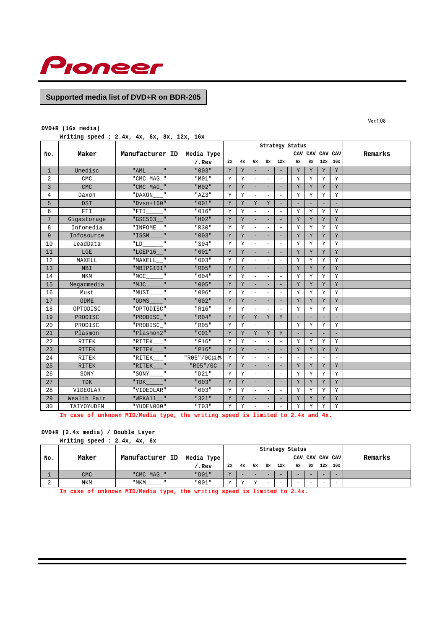

## **DVD+R (16x media)**

**Writing speed : 2.4x, 4x, 6x, 8x, 12x, 16x**

|                |                 |                        |            |    |    |                          |                          | Strategy Status          |                          |                 |                          |                          |         |
|----------------|-----------------|------------------------|------------|----|----|--------------------------|--------------------------|--------------------------|--------------------------|-----------------|--------------------------|--------------------------|---------|
| No.            | Maker           | Manufacturer ID        | Media Type |    |    |                          |                          |                          |                          | CAV CAV CAV CAV |                          |                          | Remarks |
|                |                 |                        | $/$ .Rev   | 2x | 4x | 6x                       | 8x                       | 12x                      | 6x                       | 8x              |                          | $12x$ 16x                |         |
| $\mathbf{1}$   | Umedisc         | $\mathbf{u}$<br>" AML  | "003"      | Y  | Y  | $\equiv$                 |                          |                          | Y                        | Y               | Y                        | Y                        |         |
| 2              | <b>CMC</b>      | " CMC MAG "            | "M01"      | Y  | Y  | $\equiv$                 | $\equiv$                 | $\equiv$                 | Y                        | Y               | Y                        | Y                        |         |
| $\overline{3}$ | <b>CMC</b>      | "CMC MAG "             | "M02"      | Y  | Y  | $\overline{\phantom{a}}$ | ÷,                       | ۰                        | Y                        | Y               | Y                        | Y                        |         |
| 4              | Daxon           | "DAXON                 | "AZ3"      | Y  | Y  | $\equiv$                 | $\equiv$                 | $\sim$                   | Y                        | Y               | Υ                        | Y                        |         |
| 5              | <b>DST</b>      | "Dysn+160"             | "001"      | Y  | Y  | Y                        | Y                        | $\equiv$                 | $\overline{\phantom{0}}$ |                 | $\overline{\phantom{0}}$ | $\overline{\phantom{0}}$ |         |
| 6              | <b>FTI</b>      | $\mathsf{II}$<br>"FTI  | "016"      | Y  | Y  | $\equiv$                 | $\equiv$                 | $\equiv$                 | Υ                        | Y               | Y                        | Y                        |         |
| 7              | Gigastorage     | "GSC503                | "H02"      | Υ  | Y  | $\overline{\phantom{a}}$ | ÷,                       | $\equiv$                 | Y                        | Y               | Y                        | Y                        |         |
| 8              | Infomedia       | " INFOME               | "R30"      | Υ  | Y  | $\overline{\phantom{a}}$ | $\qquad \qquad -$        | $\overline{\phantom{a}}$ | Y                        | Y               | Y                        | Y                        |         |
| 9              | Infosource      | $\mathbf{u}$<br>"ISSM  | "003"      | Y  | Y  | $\equiv$                 | ÷,                       | $\overline{\phantom{a}}$ | Y                        | Y               | Y                        | Y                        |         |
| 10             | LeadData        | $\mathbf{u}$<br>"LD    | "S04"      | Υ  | Y  | $\equiv$                 | $\overline{\phantom{0}}$ | $\equiv$                 | Y                        | Y               | Y                        | Y                        |         |
| 11             | LGE             | "LGEP16                | "001"      | Y  | Y  | $\equiv$                 | ÷,                       | $\overline{\phantom{0}}$ | Y                        | Y               | Y                        | Y                        |         |
| 12             | MAXELL          | "MAXELL                | "003"      | Υ  | Υ  | $\equiv$                 | ÷,                       | $\equiv$                 | Υ                        | Y               | Υ                        | Y                        |         |
| 13             | MBI             | "MBIPG101"             | "R05"      | Y  | Y  | $\equiv$                 | $\equiv$                 | $\overline{\phantom{a}}$ | Y                        | Y               | Y                        | Y                        |         |
| 14             | <b>MKM</b>      | $\mathsf{II}$<br>"MCC  | "004"      | Y  | Υ  | $\equiv$                 | $\equiv$                 | $\equiv$                 | Y                        | Y               | Y                        | Y                        |         |
| 15             | Meganmedia      | $\mathbf{u}$<br>"MJC   | "005"      | Y  | Y  | $\equiv$                 | $\equiv$                 | $\equiv$                 | Y                        | Y               | Y                        | Y                        |         |
| 16             | Must            | $\mathbf{u}$<br>"MUST  | "006"      | Υ  | Υ  | $\sim$                   | ۳                        | $\overline{\phantom{a}}$ | Υ                        | Y               | Y                        | Y                        |         |
| 17             | ODME            | "ODMS                  | "002"      | Y  | Y  | $\overline{\phantom{a}}$ | $\qquad \qquad -$        | $\overline{a}$           | Y                        | Y               | Y                        | Y                        |         |
| 18             | OPTODISC        | "OPTODISC"             | "R16"      | Y  | Y  | $\equiv$                 | $\overline{\phantom{0}}$ | $\equiv$                 | Y                        | Y               | Y                        | Y                        |         |
| 19             | PRODISC         | "PRODISC_"             | "R04"      | Y  | Y  | Y                        | Y                        | Y                        |                          |                 |                          |                          |         |
| 20             | PRODISC         | "PRODISC_"             | "R05"      | Y  | Y  |                          | ÷,                       | L,                       | Y                        | Y               | Y                        | Y                        |         |
| 21             | Plasmon         | "Plasmon2"             | "C01"      | Y  | Y  | Y                        | Y                        | Y                        |                          |                 |                          |                          |         |
| 22             | <b>RITEK</b>    | "RITEK<br>$\mathbf{u}$ | "F16"      | Y  | Y  | $\equiv$                 | $\equiv$                 | L,                       | Y                        | Y               | Υ                        | Y                        |         |
| 23             | <b>RITEK</b>    | $\mathbf{u}$<br>"RITEK | "P16"      | Y  | Y  | $\overline{a}$           | ÷,                       | $\overline{\phantom{a}}$ | Y                        | Y               | Y                        | Y                        |         |
| 24             | <b>RITEK</b>    | $\mathbf{H}$<br>"RITEK | "R05"/0C以外 | Y  | Y  | $\equiv$                 | $\equiv$                 | $\overline{\phantom{a}}$ | $\equiv$                 |                 | $\equiv$                 | $\sim$                   |         |
| 25             | <b>RITEK</b>    | "RITEK                 | "R05"/0C   | Y  | Y  | $\sim$                   | -                        | ۰                        | Y                        | Y               | Y                        | Y                        |         |
| 26             | SONY            | $\mathbf{u}$<br>" SONY | "D21"      | Y  | Y  | $\equiv$                 | $\overline{\phantom{a}}$ | $\overline{\phantom{0}}$ | Υ                        | Y               | Υ                        | Y                        |         |
| 27             | <b>TDK</b>      | "TDK                   | "003"      | Y  | Y  | $\overline{\phantom{a}}$ | ÷,                       | $\equiv$                 | Y                        | $\mathbf Y$     | Y                        | Y                        |         |
| 28             | <b>VIDEOLAR</b> | "VIDEOLAR"             | "003"      | Y  | Y  | $\equiv$                 | $\equiv$                 | $\overline{\phantom{a}}$ | Y                        | Y               | Y                        | Y                        |         |
| 29             | Wealth Fair     | $"WFKA11$ $"$          | "321"      | Y  | Y  |                          |                          |                          | Y                        | Y               | Y                        | Y                        |         |
| 30             | TAIYOYUDEN      | "YUDEN000"             | "T03"      | Υ  | Y  | $\overline{\phantom{a}}$ |                          | $\overline{\phantom{a}}$ | Υ                        | Y               | Y                        | Y                        |         |

**In case of unknown MID/Media type, the writing speed is limited to 2.4x and 4x.**

# **DVD+R (2.4x media) / Double Layer**

|     | Writing speed: $2.4x$ , $4x$ , $6x$ |                 |                 |              |    |              |    |                          |                 |                          |           |         |
|-----|-------------------------------------|-----------------|-----------------|--------------|----|--------------|----|--------------------------|-----------------|--------------------------|-----------|---------|
|     |                                     |                 |                 |              |    |              |    |                          | Strategy Status |                          |           |         |
| No. | Maker                               | Manufacturer ID | Media Type      |              |    |              |    |                          |                 | CAV CAV CAV CAV          |           | Remarks |
|     |                                     |                 | $^\prime$ . Rev | 2x           | 4x | 6x           | 8x | 12x                      | 6x              | 8х                       | $12x$ 16x |         |
|     | <b>CMC</b>                          | "CMC MAG "      | "D01"           | $\mathbf{v}$ |    |              | -  | $\overline{\phantom{a}}$ |                 |                          |           |         |
|     | MKM                                 | " MKM           | "001"           | v            |    | $\mathbf{v}$ | -  | $\overline{\phantom{m}}$ | -               | $\overline{\phantom{0}}$ |           |         |

**In case of unknown MID/Media type, the writing speed is limited to 2.4x.**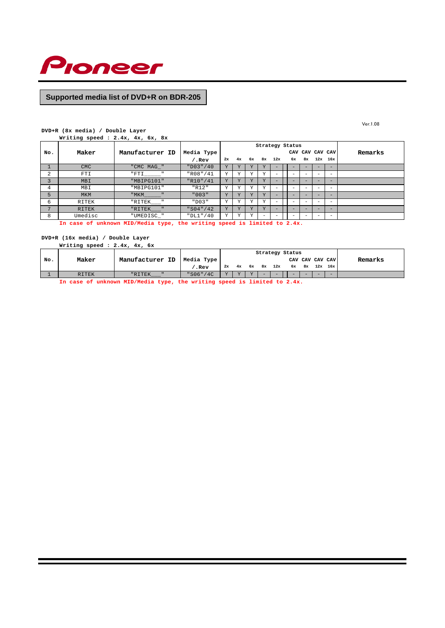

Ver.1.08

#### **DVD+R (8x media) / Double Layer**

**Writing speed : 2.4x, 4x, 6x, 8x**

|              |              |                        |            |    |                |                         |                          | Strategy Status |    |                 |   |                          |         |
|--------------|--------------|------------------------|------------|----|----------------|-------------------------|--------------------------|-----------------|----|-----------------|---|--------------------------|---------|
| No.          | Maker        | Manufacturer ID        | Media Type |    |                |                         |                          |                 |    | CAV CAV CAV CAV |   |                          | Remarks |
|              |              |                        | .Rev       | 2x | 4x             | 6ж                      | 8x                       | 12x             | 6x | 8x              |   | $12x$ $16x$              |         |
|              | <b>CMC</b>   | "CMC MAG_"             | "D03" / 40 | Y  |                |                         | Y                        |                 |    |                 |   |                          |         |
| 2            | FTI          | "FTI                   | "R08" / 41 | Υ  |                | <b>AZ</b>               |                          |                 |    |                 |   | $\overline{\phantom{0}}$ |         |
| 3            | MBI          | "MBIPG101"             | "R10" / 41 | Y  |                |                         | Y                        |                 |    |                 |   |                          |         |
| 4            | MBI          | "MBIPG101"             | "R12"      | Υ  | <b>TT</b>      | $\overline{\mathbf{v}}$ | Y                        | ۰               |    |                 |   | $\overline{\phantom{0}}$ |         |
| 5            | <b>MKM</b>   | " MKM                  | "003"      | Υ  |                | $\overline{V}$          | Y                        |                 |    |                 |   | $-$                      |         |
| 6            | RITEK        | "RITEK<br>$\mathbf{u}$ | "D03"      | Υ  |                | Y                       | v                        |                 |    |                 |   |                          |         |
| $\mathbf{z}$ | <b>RITEK</b> | "RITEK "               | "S04" / 42 | Y  | $\overline{v}$ | Y                       | Y                        |                 | -  |                 | - | $-$                      |         |
| 8            | Umedisc      | "UMEDISC_"             | "DL1" / 40 | Υ  | $\tau$         | v                       | $\overline{\phantom{0}}$ | -               | ۰  |                 |   | $\overline{\phantom{0}}$ |         |

**In case of unknown MID/Media type, the writing speed is limited to 2.4x.**

# **DVD+R (16x media) / Double Layer**

|     | Writing speed : $2.4x$ , $4x$ , $6x$ |                 |            |              |        |                         |        |     |                 |     |             |                          |         |
|-----|--------------------------------------|-----------------|------------|--------------|--------|-------------------------|--------|-----|-----------------|-----|-------------|--------------------------|---------|
|     |                                      |                 |            |              |        |                         |        |     | Strategy Status |     |             |                          |         |
| No. | Maker                                | Manufacturer ID | Media Type |              |        |                         |        |     |                 |     |             | CAV CAV CAV CAV          | Remarks |
|     |                                      |                 | .Rev       | 2x           |        | 4x 6x                   | 8x     | 12x | 6x              | 8x  | $12x$ $16x$ |                          |         |
|     | <b>RITEK</b>                         | "RITEK          | "S06" / 4C | $\mathbf{v}$ | $\tau$ | $\overline{\mathbf{v}}$ | $\sim$ | $-$ |                 | $-$ |             | $\overline{\phantom{0}}$ |         |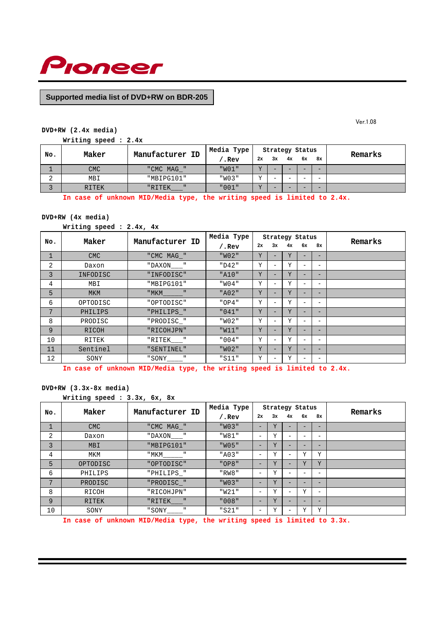

Ver.1.08

# **DVD+RW (2.4x media)**

**Writing speed : 2.4x**

| No.         | Maker      | Manufacturer ID | Media Type |                |    | Strategy Status |                          |                          | Remarks |
|-------------|------------|-----------------|------------|----------------|----|-----------------|--------------------------|--------------------------|---------|
|             |            |                 | .Rev       | 2x             | 3x | 4x              | 6x                       | 8x                       |         |
|             | <b>CMC</b> | "CMC MAG "      | "W01"      | $\overline{V}$ | -  |                 |                          |                          |         |
| $\sim$<br>▵ | MBI        | "MBIPG101"      | "W03"      | 77             | -  | -               | -                        | $\overline{\phantom{a}}$ |         |
|             | RITEK      | "RITEK          | "001"      | $\overline{v}$ | -  |                 | $\overline{\phantom{a}}$ | -                        |         |

**In case of unknown MID/Media type, the writing speed is limited to 2.4x.**

## **DVD+RW (4x media)**

**Writing speed : 2.4x, 4x**

| No.          | Maker      | Manufacturer ID | Media Type |    |                          | Strategy Status |                          |                          | Remarks |
|--------------|------------|-----------------|------------|----|--------------------------|-----------------|--------------------------|--------------------------|---------|
|              |            |                 | $/$ . Rev  | 2x | 3x                       | 4x              | 6х                       | 8x                       |         |
| $\mathbf{1}$ | <b>CMC</b> | "CMC MAG "      | "W02"      | Υ  |                          | Υ               |                          | $\overline{\phantom{0}}$ |         |
| 2            | Daxon      | "DAXON "        | "D42"      | Υ  | -                        | Y               |                          | $\overline{\phantom{0}}$ |         |
| 3            | INFODISC   | "INFODISC"      | "A10"      | Y  | -                        | Y               | $\overline{\phantom{0}}$ | $\qquad \qquad -$        |         |
| 4            | MBI        | "MBIPG101"      | "W04"      | Υ  | $\overline{\phantom{0}}$ | Υ               | -                        | $\overline{\phantom{0}}$ |         |
| 5            | <b>MKM</b> | "MKM            | "A02"      | Υ  | -                        | Y               |                          | $\overline{\phantom{0}}$ |         |
| 6            | OPTODISC   | "OPTODISC"      | "OP4"      | Y  | -                        | Y               | $\overline{\phantom{0}}$ | -                        |         |
| 7            | PHILIPS    | "PHILIPS_"      | "041"      | Y  | -                        | Υ               | -                        | $\overline{\phantom{0}}$ |         |
| 8            | PRODISC    | "PRODISC_"      | "W02"      | Υ  | -                        | Y               | $\overline{\phantom{0}}$ | $\overline{\phantom{0}}$ |         |
| 9            | RICOH      | "RICOHJPN"      | "W11"      | Y  | -                        | Y               |                          | $\overline{\phantom{0}}$ |         |
| 10           | RITEK      | "RITEK "        | "004"      | Y  | $\overline{\phantom{0}}$ | Υ               | -                        | $\overline{\phantom{0}}$ |         |
| 11           | Sentinel   | "SENTINEL"      | "W02"      | Υ  | -                        | Y               | -                        | $\overline{\phantom{0}}$ |         |
| 12           | SONY       | "SONY "         | "S11"      | Y  |                          | Y               |                          |                          |         |

**In case of unknown MID/Media type, the writing speed is limited to 2.4x.**

## **DVD+RW (3.3x-8x media)**

```
Writing speed : 3.3x, 6x, 8x
```

|              | Maker      | Manufacturer ID | Media Type |                          |    | Strategy Status          |    |                          | Remarks |
|--------------|------------|-----------------|------------|--------------------------|----|--------------------------|----|--------------------------|---------|
| No.          |            |                 | $/$ .Rev   | 2x                       | 3x | 4x                       | 6x | 8x                       |         |
| $\mathbf{1}$ | <b>CMC</b> | "CMC MAG_"      | "W03"      | -                        | Y  |                          |    |                          |         |
| 2            | Daxon      | "DAXON "        | "W81"      | $\qquad \qquad -$        | Υ  | -                        | -  | $\overline{\phantom{m}}$ |         |
| 3            | <b>MBI</b> | "MBIPG101"      | "W05"      | $\overline{\phantom{0}}$ | Y  | -                        | -  | $\overline{\phantom{0}}$ |         |
| 4            | MKM        | " MKM           | "A03"      | -                        | Y  |                          | Y  | Υ                        |         |
| 5            | OPTODISC   | "OPTODISC"      | "OP8"      | $\overline{\phantom{0}}$ | Y  |                          | Y  | Y                        |         |
| 6            | PHILIPS    | "PHILIPS_"      | "RW8"      | $\qquad \qquad -$        | Y  |                          |    | -                        |         |
| 7            | PRODISC    | "PRODISC_"      | "W03"      | $\overline{\phantom{0}}$ | Y  |                          |    | -                        |         |
| 8            | RICOH      | "RICOHJPN"      | "W21"      | $\overline{\phantom{a}}$ | Y  | $\overline{\phantom{0}}$ | Y  | $\overline{\phantom{m}}$ |         |
| 9            | RITEK      | " $RITER$ ___"  | "008"      | $\overline{\phantom{0}}$ | Y  |                          | -  | -                        |         |
| 10           | SONY       | Ш<br>" SONY     | "S21"      | $\qquad \qquad -$        | Υ  | -                        | Y  | Υ                        |         |

**In case of unknown MID/Media type, the writing speed is limited to 3.3x.**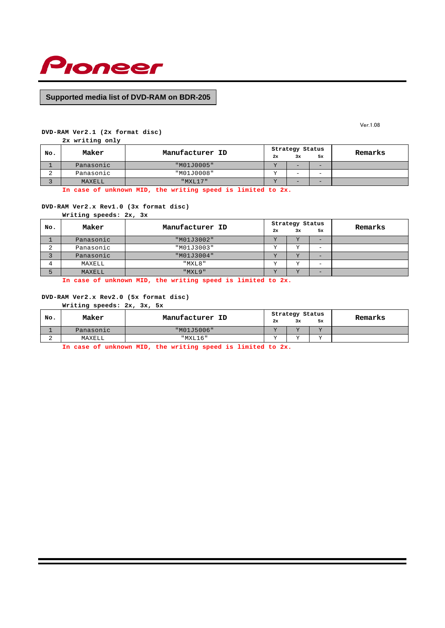

Ver.1.08

## **DVD-RAM Ver2.1 (2x format disc)**

**2x writing only**

| No. | Maker     | Manufacturer ID |           | Strategy Status |    | Remarks |
|-----|-----------|-----------------|-----------|-----------------|----|---------|
|     |           |                 | 2x        | 3x              | 5x |         |
|     | Panasonic | "M01J0005"      | $\tau$    | $-$             | -  |         |
|     | Panasonic | "M01J0008"      | <b>TT</b> | -               | -  |         |
|     | MAXELL    | $"$ MXL17"      | <b>TT</b> | $-$             | -  |         |

**In case of unknown MID, the writing speed is limited to 2x.**

## **DVD-RAM Ver2.x Rev1.0 (3x format disc)**

**Writing speeds: 2x, 3x**

| No.         | Maker     | Manufacturer ID |           | Strategy Status |                          | Remarks |
|-------------|-----------|-----------------|-----------|-----------------|--------------------------|---------|
|             |           |                 | 2x        | 3x              | 5x                       |         |
|             | Panasonic | "M01J3002"      | ステ        | $\tau$          | $-$                      |         |
| $\sim$<br>▵ | Panasonic | "M01J3003"      | τz        | $\tau$          | $\overline{\phantom{0}}$ |         |
|             | Panasonic | "M01J3004"      | <b>TT</b> | $\tau$          | -                        |         |
|             | MAXELL    | "MXL8"          |           | $\tau$          | $\overline{\phantom{0}}$ |         |
|             | MAXELL    | "MXL9"          | ステ        | $\tau$          | -                        |         |

**In case of unknown MID, the writing speed is limited to 2x.**

#### **DVD-RAM Ver2.x Rev2.0 (5x format disc)**

**Writing speeds: 2x, 3x, 5x**

| No. | Maker     | Manufacturer ID |    | Strategy Status |    | Remarks |
|-----|-----------|-----------------|----|-----------------|----|---------|
|     |           |                 | 2x | 3x              | 5x |         |
|     | Panasonic | "M01J5006"      |    | 7.7             | T  |         |
|     | MAXELL    | "MXL16"         |    | T               | T  |         |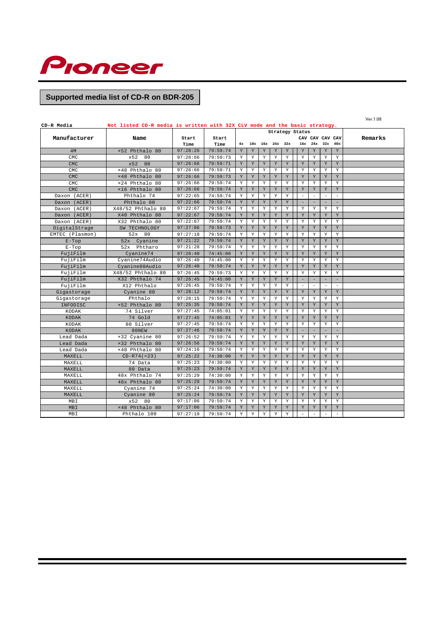

| Ver.1.08<br>Not listed CD-R media is written with 32X CLV mode and the basic strategy.<br>CD-R Media |                   |          |          |             |             |             |                 |             |                          |                                      |                          |                          |  |
|------------------------------------------------------------------------------------------------------|-------------------|----------|----------|-------------|-------------|-------------|-----------------|-------------|--------------------------|--------------------------------------|--------------------------|--------------------------|--|
| Strategy Status                                                                                      |                   |          |          |             |             |             |                 |             |                          |                                      |                          |                          |  |
| Manufacturer                                                                                         | Name              | Start    | Start    |             |             | Remarks     |                 |             |                          |                                      |                          |                          |  |
|                                                                                                      |                   | Time     | Time     | 4x          |             |             | 10x 16x 24x 32x |             |                          | CAV CAV CAV CAV<br>$16x$ $24x$ $32x$ |                          | 40x                      |  |
| 4M                                                                                                   | ×52 Phthalo 80    | 97:28:26 | 79:59:74 | $\mathbf Y$ | Y           | Y           | $\mathbf Y$     | Y           | $\mathbf Y$              | Y                                    | $\mathbf Y$              | Y                        |  |
| CMC                                                                                                  | x52<br>80         | 97:26:66 | 79:59:73 | Y           | Y           | Y           | Y               | Y           | Y                        | Y                                    | Y                        | Y                        |  |
| <b>CMC</b>                                                                                           | x52<br>80         | 97:26:66 | 79:59:71 | Y           | Y           | Y           | Y               | Y           | Y                        | Y                                    | Y                        | Y                        |  |
| <b>CMC</b>                                                                                           | ×48 Phthalo 80    | 97:26:66 | 79:59:71 | Y           | Y           | Y           | Y               | Y           | Y                        | Y                                    | Y                        | Y                        |  |
| <b>CMC</b>                                                                                           | ×48 Phthalo 80    | 97:26:66 | 79:59:73 | Y           | Y           | Y           | Y               | Y           | Y                        | Y                                    | Y                        | $\mathbf Y$              |  |
| CMC                                                                                                  | ×24 Phthalo 80    | 97:26:66 | 79:59:74 | Y           | Y           | Y           | Y               | Y           | Y                        | Y                                    | Y                        | Y                        |  |
| <b>CMC</b>                                                                                           | ×16 Phthalo 80    | 97:26:66 | 79:59:74 | $\mathbf Y$ | $\mathbf Y$ | $\mathbf Y$ | $\mathbf Y$     | $\rm Y$     | $\mathbf Y$              | $\mathbf Y$                          | $\mathbf Y$              | $\mathbf Y$              |  |
| Daxon (ACER)                                                                                         | Phthalo 74        | 97:22:65 | 74:59:74 | Y           | Y           | Y           | $\mathbf Y$     | Y           | $\bar{ }$                | $\overline{\phantom{a}}$             | $\overline{\phantom{a}}$ | $\bar{ }$                |  |
| Daxon (ACER)                                                                                         | Phthalo 80        | 97:22:66 | 79:59:74 | $\mathbf Y$ | Y           | Y           | $\mathbf Y$     | Y           | $\equiv$                 | $\equiv$                             |                          | $\equiv$                 |  |
| Daxon (ACER)                                                                                         | X48/52 Phthalo 80 | 97:22:67 | 79:59:74 | Υ           | $\mathbf Y$ | Y           | Y               | Y           | $\mathbf Y$              | Y                                    | $\mathbf Y$              | Y                        |  |
| Daxon (ACER)                                                                                         | X40 Phthalo 80    | 97:22:67 | 79:59:74 | Y           | $\mathbf Y$ | $\rm Y$     | $\mathbf Y$     | Y           | $\mathbf Y$              | $\mathbf Y$                          | $\mathbf Y$              | Y                        |  |
| Daxon (ACER)                                                                                         | X32 Phthalo 80    | 97:22:67 | 79:59:74 | Y           | Y           | Y           | Y               | Y           | Y                        | Y                                    | Y                        | Y                        |  |
| DigitalStrage                                                                                        | SW TECHNOLOGY     | 97:27:06 | 79:59:73 | Y           | $\mathbf Y$ | Y           | $\mathbf Y$     | Y           | $\mathbf Y$              | $\mathbf Y$                          | $\mathbf Y$              | Y                        |  |
| EMTEC (Plasmon)                                                                                      | 52x 80            | 97:27:18 | 79:59:74 | Y           | Y           | Y           | $\mathbf Y$     | Y           | $\mathbf Y$              | $\mathbf Y$                          | Y                        | Y                        |  |
| $E$ -Top                                                                                             | 52x Cyanine       | 97:21:22 | 79:59:74 | Y           | Y           | Y           | Y               | Y           | Y                        | Y                                    | Y                        | Y                        |  |
| $E-Top$                                                                                              | 52x<br>Phtharo    | 97:21:28 | 79:59:74 | Y           | $\mathbf Y$ | Y           | Y               | Y           | $\mathbf Y$              | Y                                    | $\mathbf Y$              | $\mathbf Y$              |  |
| FujiFilm                                                                                             | Cyanine74         | 97:26:40 | 74:45:00 | Y           | Y           | Y           | Y               | Y           | Y                        | Y                                    | Y                        | Y                        |  |
| FujiFilm                                                                                             | Cyanine74Audio    | 97:26:40 | 74:45:00 | Y           | Y           | Y           | Y               | Y           | Y                        | Y                                    | Y                        | Y                        |  |
| FujiFilm                                                                                             | Cyanine80Audio    | 97:26:40 | 79:59:74 | Y           | Y           | Y           | $\mathbf Y$     | Y           | Y                        | Y                                    | Y                        | Y                        |  |
| FujiFilm                                                                                             | X48/52 Phthalo 80 | 97:26:45 | 79:59:73 | Y           | Y           | Y           | Y               | Y           | $\mathbf Y$              | Y                                    | $\mathbf Y$              | Y                        |  |
| FujiFilm                                                                                             | X32 Phthalo 74    | 97:26:45 | 74:45:00 | Y           | Y           | Y           | $\mathbf Y$     | Y           | $\overline{\phantom{a}}$ | $\overline{\phantom{a}}$             | $\overline{\phantom{a}}$ | $\overline{\phantom{a}}$ |  |
| FujiFilm                                                                                             | X12 Phthalo       | 97:26:45 | 79:59:74 | Υ           | $\mathbf Y$ | Υ           | Y               | Y           | $\overline{\phantom{a}}$ | $\overline{\phantom{a}}$             | $\overline{\phantom{a}}$ | $\overline{\phantom{a}}$ |  |
| Gigastorage                                                                                          | Cyanine 80        | 97:28:12 | 79:59:74 | Y           | Y           | Y           | Y               | Y           | Y                        | Y                                    | Y                        | Y                        |  |
| Gigastorage                                                                                          | Phthalo           | 97:28:15 | 79:59:74 | Y           | Υ           | Y           | Y               | Y           | Y                        | Y                                    | Y                        | Y                        |  |
| INFODISC                                                                                             | ×52 Phthalo 80    | 97:25:35 | 79:59:74 | $\mathbf Y$ | $\mathbf Y$ | $\rm Y$     | $\mathbf Y$     | $\mathbf Y$ | $\mathbf Y$              | $\mathbf Y$                          | $\mathbf Y$              | Y                        |  |
| KODAK                                                                                                | 74 Silver         | 97:27:45 | 74:05:01 | Y           | $\mathbf Y$ | Y           | Y               | Y           | Y                        | Y                                    | $\mathbf Y$              | Y                        |  |
| KODAK                                                                                                | 74 Gold           | 97:27:45 | 74:05:01 | Y           | Y           | Y           | Y               | Y           | Y                        | Y                                    | Y                        | Y                        |  |
| KODAK                                                                                                | 80 Silver         | 97:27:45 | 79:59:74 | Y           | $\mathbf Y$ | Y           | Y               | Y           | Y                        | Y                                    | Υ                        | Y                        |  |
| KODAK                                                                                                | 80NEW             | 97:27:46 | 79:59:74 | $\mathbf Y$ | $\mathbf Y$ | $\rm Y$     | $\mathbf Y$     | $\mathbf Y$ | $\overline{\phantom{a}}$ | ٠                                    |                          | ٠                        |  |
| Lead Dada                                                                                            | ×32 Cyanine 80    | 97:26:52 | 79:59:74 | Y           | Y           | Y           | Y               | Y           | Y                        | Y                                    | Y                        | Y                        |  |
| Lead Dada                                                                                            | ×32 Phthalo 80    | 97:26:56 | 79:59:74 | $\mathbf Y$ | $\mathbf Y$ | Y           | $\mathbf Y$     | $\mathbf Y$ | $\mathbf Y$              | $\mathbf Y$                          | $\mathbf Y$              | $\mathbf Y$              |  |
| Lead Dada                                                                                            | ×48 Phthalo 80    | 97:24:16 | 79:59:74 | Y           | $\mathbf Y$ | Y           | Y               | Y           | Y                        | Y                                    | $\mathbf Y$              | Y                        |  |
| MAXELL                                                                                               | $CD-R74 (=23)$    | 97:25:22 | 74:30:00 | Y           | $\mathbf Y$ | Y           | Y               | Y           | Y                        | Y                                    | Y                        | Y                        |  |
| MAXELL                                                                                               | 74 Data           | 97:25:23 | 74:30:00 | Y           | Y           | Y           | Y               | Y           | Y                        | Y                                    | Y                        | Y                        |  |
| MAXELL                                                                                               | 80 Data           | 97:25:23 | 79:59:74 | Y           | Y           | Y           | Y               | Y           | Y                        | Y                                    | Y                        | Y                        |  |
| MAXELL                                                                                               | 48x Phthalo 74    | 97:25:29 | 74:30:00 | Y           | Y           | Y           | Y               | Y           | Y                        | Y                                    | Y                        | Y                        |  |
| MAXELL                                                                                               | 48x Phthalo 80    | 97:25:29 | 79:59:74 | Y           | Y           | Y           | Y               | Y           | Y                        | Y                                    | Y                        | Y                        |  |
| MAXELL                                                                                               | Cyanine 74        | 97:25:24 | 74:30:00 | $\mathbf Y$ | $\mathbf Y$ | Y           | $\mathbf Y$     | Y           | $\mathbf Y$              | Y                                    | Y                        | Y                        |  |
| MAXELL                                                                                               | Cyanine 80        | 97:25:24 | 79:59:74 | Y           | Y           | Y           | $\mathbf Y$     | Y           | $\mathbf Y$              | $\mathbf Y$                          | $\mathbf Y$              | Y                        |  |
| MBI                                                                                                  | x52<br>80         | 97:17:06 | 79:59:74 | Y           | $\mathbf Y$ | Υ           | Υ               | Y           | $\mathbf Y$              | Y                                    | Y                        | Y                        |  |
| <b>MBI</b>                                                                                           | ×48 Phthalo 80    | 97:17:06 | 79:59:74 | Y           | Y           | Y           | $\mathbf Y$     | Y           | Y                        | $\mathbf Y$                          | $\mathbf Y$              | Y                        |  |
| MBI                                                                                                  | Phthalo 100       | 97:27:19 | 79:59:74 | Y           | Y           | Y           | Y               | Y           | $\bar{a}$                | $\sim$                               | $\overline{\phantom{a}}$ | $\overline{\phantom{a}}$ |  |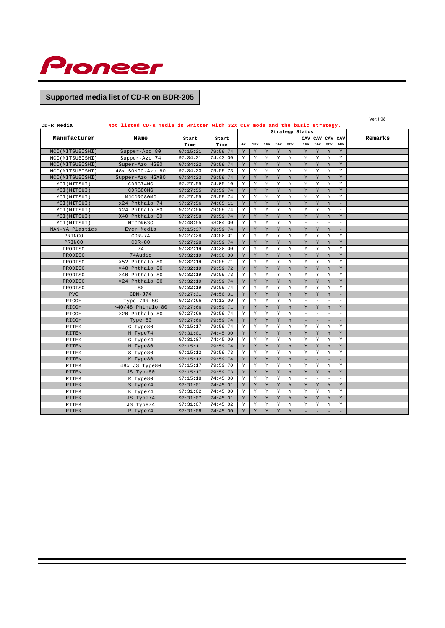

| CD-R Media      | Not listed CD-R media is written with 32X CLV mode and the basic strategy. |          |          |             |                 |   |                 |         |                          |                          |                          |                          | Ver.1.08 |
|-----------------|----------------------------------------------------------------------------|----------|----------|-------------|-----------------|---|-----------------|---------|--------------------------|--------------------------|--------------------------|--------------------------|----------|
|                 |                                                                            |          |          |             |                 |   |                 |         | Strategy Status          |                          |                          |                          |          |
| Manufacturer    | Name                                                                       | Start    | Start    |             | CAV CAV CAV CAV |   |                 |         |                          |                          |                          |                          | Remarks  |
|                 |                                                                            | Time     | Time     | 4x          |                 |   | 10x 16x 24x 32x |         | 16x                      |                          | $24x$ $32x$              | 40x                      |          |
| MCC(MITSUBISHI) | Supper-Azo 80                                                              | 97:15:21 | 79:59:74 | Y           | Y               | Y | Y               | Y       | Y                        | Y                        | Y                        | Y                        |          |
| MCC(MITSUBISHI) | Supper-Azo 74                                                              | 97:34:21 | 74:43:00 | Y           | Υ               | Y | Y               | Y       | Y                        | Y                        | Y                        | Y                        |          |
| MCC(MITSUBISHI) | Super-Azo HG80                                                             | 97:34:22 | 79:59:74 | Y           | Y               | Y | Y               | Y       | Y                        | Y                        | Y                        | Y                        |          |
| MCC(MITSUBISHI) | 48x SONIC-Azo 80                                                           | 97:34:23 | 79:59:73 | Y           | Y               | Υ | Υ               | Y       | $\mathbf Y$              | Υ                        | Y                        | Y                        |          |
| MCC(MITSUBISHI) | Supper-Azo HGX80                                                           | 97:34:23 | 79:59:74 | Y           | Y               | Y | Y               | Y       | Y                        | Y                        | Y                        | Y                        |          |
| MCI(MITSUI)     | CDRG74MG                                                                   | 97:27:55 | 74:05:10 | Y           | Y               | Y | Y               | Y       | Y                        | Y                        | Y                        | Y                        |          |
| MCI(MITSUI)     | CDRG80MG                                                                   | 97:27:55 | 79:59:74 | Y           | Y               | Y | Y               | Y       | Y                        | Y                        | Y                        | Y                        |          |
| MCI(MITSUI)     | MJCDRG80MG                                                                 | 97:27:55 | 79:59:74 | Y           | Y               | Y | Y               | Y       | Y                        | Y                        | Y                        | Y                        |          |
| MCI(MITSUI)     | x24 Phthalo 74                                                             | 97:27:56 | 74:05:11 | Y           | $\mathbf Y$     | Y | $\mathbf Y$     | Y       | $\mathbf Y$              | $\mathbf Y$              | $\mathbf Y$              | $\overline{\phantom{a}}$ |          |
| MCI(MITSUI)     | X24 Phthalo 80                                                             | 97:27:56 | 79:59:74 | Y           | Y               | Y | Y               | Y       | Y                        | Y                        | Y                        | $\equiv$                 |          |
| MCI(MITSUI)     | X40 Phthalo 80                                                             | 97:27:58 | 79:59:74 | Y           | Y               | Y | $\mathbf Y$     | Y       | Y                        | $\mathbf Y$              | Y                        | Y                        |          |
| MCI(MITSUI)     | MTCDR63G                                                                   | 97:48:55 | 63:04:00 | Y           | Y               | Y | Y               | Y       | $\overline{\phantom{a}}$ | $\sim$                   | $\sim$                   | $\equiv$                 |          |
| NAN-YA Plastics | Ever Media                                                                 | 97:15:37 | 79:59:74 | Y           | Y               | Y | Y               | Y       | Y                        | Y                        | Y                        | $\overline{\phantom{a}}$ |          |
| PRINCO          | $CDR-74$                                                                   | 97:27:28 | 74:50:01 | Y           | Υ               | Υ | Υ               | Y       | Y                        | Y                        | Υ                        | Υ                        |          |
| PRINCO          | $CDR-80$                                                                   | 97:27:28 | 79:59:74 | Y           | $\mathbf Y$     | Y | $\mathbf Y$     | Y       | Y                        | $\mathbf Y$              | $\mathbf Y$              | Y                        |          |
| PRODISC         | 74                                                                         | 97:32:19 | 74:30:00 | Y           | Y               | Y | Y               | Y       | Y                        | Y                        | Y                        | Y                        |          |
| PRODISC         | 74Audio                                                                    | 97:32:19 | 74:30:00 | Y           | Y               | Y | Y               | Y       | Y                        | Y                        | Y                        | Y                        |          |
| PRODISC         | ×52 Phthalo 80                                                             | 97:32:19 | 79:59:71 | Y           | Y               | Y | Y               | Y       | Y                        | Y                        | Y                        | Y                        |          |
| PRODISC         | ×48 Phthalo 80                                                             | 97:32:19 | 79:59:72 | $\mathbf Y$ | $\mathbf Y$     | Y | $\mathbf Y$     | $\rm Y$ | $\mathbf Y$              | $\mathbf Y$              | Y                        | $\mathbf Y$              |          |
| PRODISC         | ×40 Phthalo 80                                                             | 97:32:19 | 79:59:73 | Y           | $\mathbf Y$     | Y | Y               | Y       | $\mathbf Y$              | $\mathbf Y$              | $\mathbf Y$              | Y                        |          |
| PRODISC         | ×24 Phthalo 80                                                             | 97:32:19 | 79:59:74 | Y           | Y               | Y | Y               | Y       | Y                        | Y                        | Y                        | Y                        |          |
| PRODISC         | 80                                                                         | 97:32:19 | 79:59:74 | Y           | Υ               | Y | Y               | Y       | Y                        | Y                        | Υ                        | Y                        |          |
| <b>PVC</b>      | $CDM-J74$                                                                  | 97:27:31 | 74:50:01 | Y           | Y               | Y | Y               | Y       | Y                        | Y                        | Y                        | $\equiv$                 |          |
| RICOH           | Type 74R-SG                                                                | 97:27:66 | 74:12:00 | $\mathbf Y$ | Y               | Y | Y               | Y       | $\overline{\phantom{a}}$ | $\equiv$                 | $\overline{\phantom{a}}$ | $\overline{\phantom{a}}$ |          |
| RICOH           | $\times$ 40/48 Phthalo 80                                                  | 97:27:66 | 79:59:71 | Y           | $\mathbf Y$     | Y | Y               | Y       | Y                        | $\mathbf Y$              | Y                        | Y                        |          |
| RICOH           | ×20 Phthalo 80                                                             | 97:27:66 | 79:59:74 | Y           | Y               | Y | Y               | Y       | $\bar{ }$                | $\overline{\phantom{a}}$ | $\overline{\phantom{a}}$ | $\equiv$                 |          |
| RICOH           | Type 80                                                                    | 97:27:66 | 79:59:74 | Y           | Y               | Y | Y               | Y       | $\qquad \qquad -$        |                          |                          | $\equiv$                 |          |
| RITEK           | G Type80                                                                   | 97:15:17 | 79:59:74 | Y           | $\mathbf Y$     | Y | Y               | Y       | Y                        | Y                        | Y                        | Y                        |          |
| <b>RITEK</b>    | H Type74                                                                   | 97:31:01 | 74:45:00 | Y           | $\mathbf Y$     | Y | Y               | Y       | Y                        | Y                        | Y                        | Y                        |          |
| RITEK           | G Type74                                                                   | 97:31:07 | 74:45:00 | Υ           | $\mathbf Y$     | Y | Y               | Y       | Y                        | Y                        | Y                        | Y                        |          |
| <b>RITEK</b>    | H Type80                                                                   | 97:15:11 | 79:59:74 | Y           | Y               | Y | Y               | Y       | Y                        | Y                        | Y                        | Y                        |          |
| RITEK           | S Type80                                                                   | 97:15:12 | 79:59:73 | Y           | Y               | Y | Y               | Y       | Y                        | Y                        | Y                        | Y                        |          |
| <b>RITEK</b>    | K Type80                                                                   | 97:15:12 | 79:59:74 | Y           | $\mathbf Y$     | Y | $\mathbf Y$     | Y       | $\equiv$                 |                          |                          | $\equiv$                 |          |
| RITEK           | 48x JS Type80                                                              | 97:15:17 | 79:59:70 | Y           | $\mathbf Y$     | Y | Y               | Y       | Y                        | Y                        | Y                        | Y                        |          |
| RITEK           | JS Type80                                                                  | 97:15:17 | 79:59:73 | Y           | $\mathbf Y$     | Y | $\mathbf Y$     | Y       | Y                        | $\mathbf Y$              | Y                        | Y                        |          |
| RITEK           | R Type80                                                                   | 97:15:18 | 74:45:00 | Y           | Υ               | Y | Y               | Y       | ÷                        | $\sim$                   | $\equiv$                 | $\sim$                   |          |
| <b>RITEK</b>    | S Type74                                                                   | 97:31:01 | 74:45:01 | Y           | Y               | Y | Y               | Y       | Y                        | Y                        | Y                        | Y                        |          |
| RITEK           | K Type74                                                                   | 97:31:02 | 74:45:00 | Y           | Y               | Υ | Y               | Y       | Y                        | Y                        | Υ                        | Υ                        |          |
| RITEK           | JS Type74                                                                  | 97:31:07 | 74:45:01 | Y           | $\mathbf Y$     | Y | $\mathbf Y$     | $\rm Y$ | $\mathbf Y$              | $\mathbf Y$              | $\mathbf Y$              | Y                        |          |
| RITEK           | JS Type74                                                                  | 97:31:07 | 74:45:02 | Y           | Y               | Y | Y               | Y       | $\mathbf Y$              | $\mathbf Y$              | Y                        | Y                        |          |
| <b>RITEK</b>    | R Type74                                                                   | 97:31:08 | 74:45:00 | Y           | Y               | Y | Y               | Y       | $\qquad \qquad -$        | $\overline{\phantom{a}}$ |                          | $\equiv$                 |          |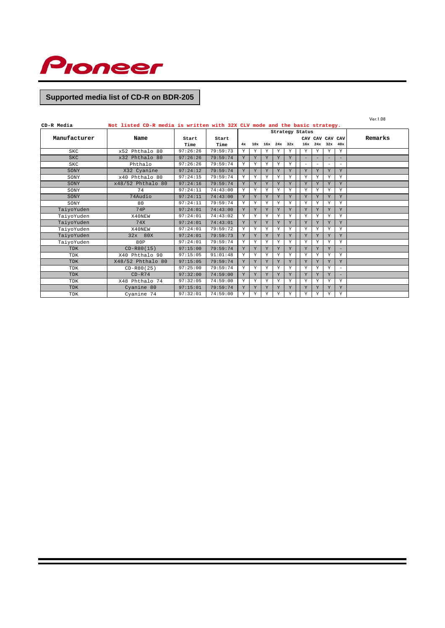

| CD-R Media      | Not listed CD-R media is written with 32X CLV mode and the basic strategy. |               |               |    |   |   |                 |   |                          |          |                          |                   | Ver.1.08 |
|-----------------|----------------------------------------------------------------------------|---------------|---------------|----|---|---|-----------------|---|--------------------------|----------|--------------------------|-------------------|----------|
| Strategy Status |                                                                            |               |               |    |   |   |                 |   |                          |          |                          |                   |          |
| Manufacturer    | Name                                                                       | Start<br>Time | Start<br>Time | 4x |   |   | 10x 16x 24x 32x |   |                          |          | 16x 24x 32x 40x          | CAV CAV CAV CAV   | Remarks  |
| <b>SKC</b>      | x52 Phthalo 80                                                             | 97:26:26      | 79:59:73      | Y  | Y | Y | Υ               | Y | Υ                        | Υ        | Y                        | Y                 |          |
| SKC             | x32 Phthalo 80                                                             | 97:26:26      | 79:59:74      | Y  | Y | Y | $\mathbf{v}$    | Y | $\equiv$                 | $\equiv$ | $\overline{\phantom{a}}$ | $\equiv$          |          |
| <b>SKC</b>      | Phthalo                                                                    | 97:26:26      | 79:59:74      | Y  | Y | Y | Y               | Y | $\overline{\phantom{0}}$ | $\equiv$ | $\overline{\phantom{0}}$ | $\equiv$          |          |
| SONY            | X32 Cyanine                                                                | 97:24:12      | 79:59:74      | Y  | Y | Y | Y               | Y | Y                        | Y        | Y                        | Y                 |          |
| SONY            | x40 Phthalo 80                                                             | 97:24:15      | 79:59:74      | Y  | Y | Y | Y               | Y | Y                        | Y        | Y                        | Y                 |          |
| SONY            | x48/52 Phthalo 80                                                          | 97:24:16      | 79:59:74      | Y  | Y | Y | Y               | Y | Y                        | Y        | Y                        | Y                 |          |
| SONY            | 74                                                                         | 97:24:11      | 74:43:00      | Y  | Y | Y | Y               | Y | Y                        | Y        | Y                        | Y                 |          |
| SONY            | 74Audio                                                                    | 97:24:11      | 74:43:00      | Y  | Y | Y | $\mathbf{v}$    | Y | Y                        | Y        | Y                        | Y                 |          |
| SONY            | 80                                                                         | 97:24:11      | 79:59:74      | Y  | Y | Y | Y               | Y | Y                        | Y        | Y                        | Y                 |          |
| TaiyoYuden      | 74P                                                                        | 97:24:01      | 74:43:00      | Y  | Y | Y | Y               | Y | Y                        | Y        | Y                        | Y                 |          |
| TaiyoYuden      | X40NEW                                                                     | 97:24:01      | 74:43:02      | Y  | Y | Y | Y               | Y | Y                        | Y        | Y                        | Y                 |          |
| TaiyoYuden      | 74X                                                                        | 97:24:01      | 74:43:01      | Y  | Y | Y | Y               | Y | Y                        | Y        | Y                        | Y                 |          |
| TaiyoYuden      | X40NEW                                                                     | 97:24:01      | 79:59:72      | Y  | Y | Y | Y               | Y | Y                        | Y        | Y                        | Y                 |          |
| TaiyoYuden      | 32x 80X                                                                    | 97:24:01      | 79:59:73      | Y  | Y | Y | Y               | Y | Y                        | Y        | Y                        | Y                 |          |
| TaiyoYuden      | 80P                                                                        | 97:24:01      | 79:59:74      | Y  | Y | Y | Y               | Y | Y                        | Y        | Y                        | Y                 |          |
| <b>TDK</b>      | $CD - R80(15)$                                                             | 97:15:00      | 79:59:74      | Y  | Y | Y | Y               | Y | Y                        | Y        | Y                        |                   |          |
| <b>TDK</b>      | X40 Phthalo 90                                                             | 97:15:05      | 91:01:48      | Y  | Y | Y | Y               | Y | Y                        | Y        | Y                        | Y                 |          |
| TDK             | X48/52 Phthalo 80                                                          | 97:15:05      | 79:59:74      | Y  | Y | Y | Y               | Y | Y                        | Y        | Y                        | Y                 |          |
| TDK             | $CD - R80(25)$                                                             | 97:25:00      | 79:59:74      | Y  | Y | Y | Y               | Y | Y                        | Y        | Y                        | ÷                 |          |
| <b>TDK</b>      | $CD-R74$                                                                   | 97:32:00      | 74:59:00      | Y  | Y | Y | Y               | Y | Y                        | Y        | Y                        | $\qquad \qquad -$ |          |
| TDK             | X48 Phthalo 74                                                             | 97:32:05      | 74:59:00      | Y  | Y | Y | Y               | Y | Y                        | Y        | Y                        | Y                 |          |
| TDK             | Cyanine 80                                                                 | 97:15:01      | 79:59:74      | Y  | Y | Y | Y               | Y | Y                        | Y        | Y                        | Y                 |          |
| TDK             | Cyanine 74                                                                 | 97:32:01      | 74:59:00      | Y  | Y | Y | Y               | Y | Y                        | Y        | Y                        | Y                 |          |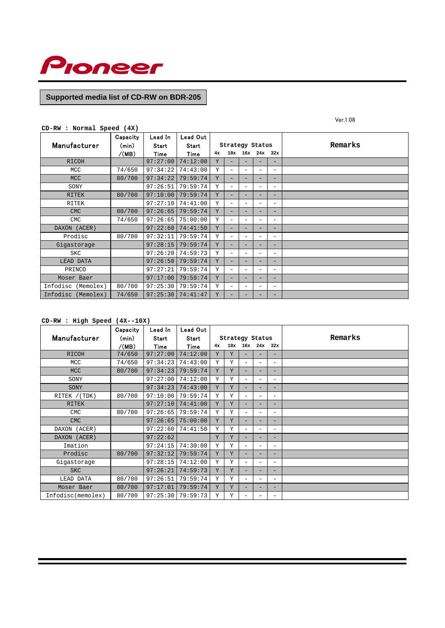

Ver.1.08

|  |  | $CD-RW: Normal Speed (4X)$ |  |  |
|--|--|----------------------------|--|--|
|--|--|----------------------------|--|--|

| Manufacturer          | Capacity       | Lead In       | Lead Out      |    |                          |                          |                          |                          | Remarks |
|-----------------------|----------------|---------------|---------------|----|--------------------------|--------------------------|--------------------------|--------------------------|---------|
|                       | (min)<br>/(MB) | Start<br>Time | Start<br>Time | 4x | Strategy Status          |                          | 10x 16x 24x 32x          |                          |         |
| <b>RICOH</b>          |                | 97:27:00      | 74:12:00      | Y  | -                        |                          |                          | $\overline{\phantom{0}}$ |         |
| MCC                   | 74/650         | 97:34:22      | 74:43:00      | Y  | $\overline{\phantom{0}}$ | -                        | $\overline{\phantom{0}}$ | $\overline{\phantom{a}}$ |         |
| <b>MCC</b>            | 80/700         | 97:34:22      | 79:59:74      | Y  |                          |                          |                          | $\overline{\phantom{0}}$ |         |
| SONY                  |                | 97:26:51      | 79:59:74      | Y  | $\qquad \qquad -$        | $\overline{\phantom{0}}$ | $\overline{\phantom{a}}$ | $\overline{\phantom{a}}$ |         |
| <b>RITEK</b>          | 80/700         | 97:10:00      | 79:59:74      | Y  | $\overline{\phantom{0}}$ |                          |                          | $\overline{\phantom{0}}$ |         |
| RITEK                 |                | 97:27:10      | 74:41:00      | Y  | $\overline{\phantom{0}}$ |                          | $\overline{\phantom{0}}$ | $\overline{\phantom{a}}$ |         |
| <b>CMC</b>            | 80/700         | 97:26:65      | 79:59:74      | Y  | -                        | -                        | $\overline{\phantom{0}}$ | $\overline{\phantom{0}}$ |         |
| <b>CMC</b>            | 74/650         | 97:26:65      | 75:00:00      | Y  | $\overline{\phantom{0}}$ | -                        |                          | $\overline{\phantom{a}}$ |         |
| DAXON (ACER)          |                | 97:22:60      | 74:41:50      | Y  | Ξ.                       |                          | $\overline{\phantom{0}}$ | $\overline{\phantom{0}}$ |         |
| Prodisc               | 80/700         | 97:32:11      | 79:59:74      | Y  | $\equiv$                 | $\overline{\phantom{0}}$ | $\overline{\phantom{a}}$ | $\overline{\phantom{0}}$ |         |
| Gigastorage           |                | 97:28:15      | 79:59:74      | Y  |                          |                          |                          | $\overline{\phantom{0}}$ |         |
| <b>SKC</b>            |                | 97:26:20      | 74:59:73      | Y  | $\overline{\phantom{0}}$ |                          |                          | $\overline{\phantom{0}}$ |         |
| LEAD DATA             |                | 97:26:50      | 79:59:74      | Y  | $\equiv$                 |                          | -                        | $\overline{\phantom{0}}$ |         |
| PRINCO                |                | 97:27:21      | 79:59:74      | Y  | $\overline{\phantom{0}}$ | $\overline{\phantom{0}}$ |                          | $\overline{\phantom{a}}$ |         |
| Moser Baer            |                | 97:17:00      | 79:59:74      | Y  | Ξ.                       |                          |                          | $\overline{\phantom{0}}$ |         |
| Infodisc (Memolex)    | 80/700         | 97:25:30      | 79:59:74      | Y  |                          | -                        | $\overline{\phantom{0}}$ | $\overline{\phantom{0}}$ |         |
| Infodisc<br>(Memolex) | 74/650         | 97:25:30      | 74:41:47      | Y  | -                        | -                        | -                        | $\overline{\phantom{0}}$ |         |

## **CD-RW : High Speed (4X--10X)**

|                   | Capacity | Lead In  | Lead Out |    |                 |                          |                          |                          |         |
|-------------------|----------|----------|----------|----|-----------------|--------------------------|--------------------------|--------------------------|---------|
| Manufacturer      | (min)    | Start    | Start    |    | Strategy Status |                          |                          |                          | Remarks |
|                   | /(MB)    | Time     | Time     | 4x | 10x             |                          | $16x$ $24x$ $32x$        |                          |         |
| <b>RICOH</b>      | 74/650   | 97:27:00 | 74:12:00 | Y  | Y               |                          |                          | -                        |         |
| MCC               | 74/650   | 97:34:23 | 74:43:00 | Y  | Y               | $\overline{\phantom{0}}$ | $\overline{\phantom{a}}$ | $\overline{\phantom{0}}$ |         |
| <b>MCC</b>        | 80/700   | 97:34:23 | 79:59:74 | Y  | Y               | Ξ.                       | $\overline{\phantom{0}}$ | -                        |         |
| SONY              |          | 97:27:00 | 74:12:00 | Y  | Y               | $\overline{\phantom{0}}$ | $\overline{\phantom{a}}$ | $\overline{\phantom{0}}$ |         |
| SONY              |          | 97:34:23 | 74:43:00 | Y  | Y               |                          |                          |                          |         |
| RITEK / (TDK)     | 80/700   | 97:10:00 | 79:59:74 | Y  | Υ               | Ξ.                       | $\overline{\phantom{0}}$ | $\overline{a}$           |         |
| <b>RITEK</b>      |          | 97:27:10 | 74:41:00 | Y  | Y               |                          |                          | -                        |         |
| <b>CMC</b>        | 80/700   | 97:26:65 | 79:59:74 | Y  | Y               | $\overline{\phantom{0}}$ | $\overline{\phantom{a}}$ | $\overline{a}$           |         |
| <b>CMC</b>        |          | 97:26:65 | 75:00:00 | Y  | Y               |                          |                          | -                        |         |
| DAXON (ACER)      |          | 97:22:60 | 74:41:50 | Y  | Υ               | $\overline{\phantom{0}}$ | $\overline{\phantom{a}}$ | $\overline{\phantom{0}}$ |         |
| DAXON (ACER)      |          | 97:22:62 |          | Y  | Y               |                          |                          | -                        |         |
| Imation           |          | 97:24:15 | 74:30:00 | Y  | Y               | $\overline{\phantom{0}}$ | $\overline{\phantom{0}}$ | $\overline{a}$           |         |
| Prodisc           | 80/700   | 97:32:12 | 79:59:74 | Y  | Y               |                          |                          | -                        |         |
| Gigastorage       |          | 97:28:15 | 74:12:00 | Y  | Υ               | $\overline{\phantom{0}}$ | $\overline{\phantom{a}}$ | $\overline{a}$           |         |
| <b>SKC</b>        |          | 97:26:21 | 74:59:73 | Y  | Y               | -                        | $\overline{\phantom{0}}$ | -                        |         |
| LEAD DATA         | 80/700   | 97:26:51 | 79:59:74 | Y  | Y               | $\overline{\phantom{0}}$ | $\overline{\phantom{0}}$ | $\overline{\phantom{0}}$ |         |
| Moser Baer        | 80/700   | 97:17:01 | 79:59:74 | Y  | Y               |                          | $\overline{\phantom{0}}$ | -                        |         |
| Infodisc(memolex) | 80/700   | 97:25:30 | 79:59:73 | Y  | Y               |                          |                          | $\overline{\phantom{0}}$ |         |